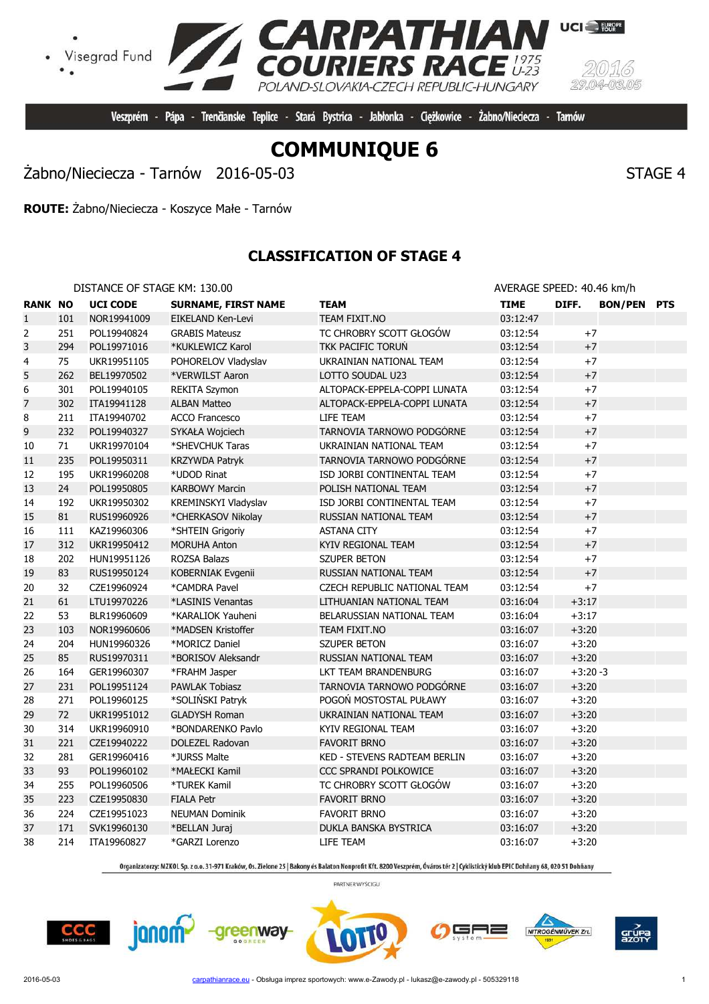

Veszprém - Pápa - Trenčianske Teplice - Stará Bystrica - Jabłonka - Ciężkowice -

Żabno/Nieciecza - Tarnów 2016-05-03 STAGE 4

**ROUTE:** Żabno/Nieciecza - Koszyce Małe - Tarnów

## **CLASSIFICATION OF STAGE 4**

| DISTANCE OF STAGE KM: 130.00 | AVERAGE SPEED: 40.46 km/h |
|------------------------------|---------------------------|
|------------------------------|---------------------------|

| <b>RANK NO</b> |     | <b>UCI CODE</b> | <b>SURNAME, FIRST NAME</b> | <b>TEAM</b>                  | <b>TIME</b> | DIFF.     | <b>BON/PEN PTS</b> |  |
|----------------|-----|-----------------|----------------------------|------------------------------|-------------|-----------|--------------------|--|
| $\mathbf{1}$   | 101 | NOR19941009     | EIKELAND Ken-Levi          | TEAM FIXIT.NO                | 03:12:47    |           |                    |  |
| 2              | 251 | POL19940824     | <b>GRABIS Mateusz</b>      | TC CHROBRY SCOTT GŁOGÓW      | 03:12:54    | $+7$      |                    |  |
| 3              | 294 | POL19971016     | *KUKLEWICZ Karol           | TKK PACIFIC TORUŃ            | 03:12:54    | $+7$      |                    |  |
| 4              | 75  | UKR19951105     | POHORELOV Vladyslav        | UKRAINIAN NATIONAL TEAM      | 03:12:54    | $+7$      |                    |  |
| 5              | 262 | BEL19970502     | *VERWILST Aaron            | LOTTO SOUDAL U23             | 03:12:54    | $+7$      |                    |  |
| 6              | 301 | POL19940105     | <b>REKITA Szymon</b>       | ALTOPACK-EPPELA-COPPI LUNATA | 03:12:54    | $+7$      |                    |  |
| 7              | 302 | ITA19941128     | <b>ALBAN Matteo</b>        | ALTOPACK-EPPELA-COPPI LUNATA | 03:12:54    | $+7$      |                    |  |
| 8              | 211 | ITA19940702     | <b>ACCO Francesco</b>      | LIFE TEAM                    | 03:12:54    | $+7$      |                    |  |
| 9              | 232 | POL19940327     | SYKAŁA Wojciech            | TARNOVIA TARNOWO PODGÓRNE    | 03:12:54    | $+7$      |                    |  |
| 10             | 71  | UKR19970104     | *SHEVCHUK Taras            | UKRAINIAN NATIONAL TEAM      | 03:12:54    | $+7$      |                    |  |
| 11             | 235 | POL19950311     | <b>KRZYWDA Patryk</b>      | TARNOVIA TARNOWO PODGÓRNE    | 03:12:54    | $+7$      |                    |  |
| 12             | 195 | UKR19960208     | *UDOD Rinat                | ISD JORBI CONTINENTAL TEAM   | 03:12:54    | $+7$      |                    |  |
| 13             | 24  | POL19950805     | <b>KARBOWY Marcin</b>      | POLISH NATIONAL TEAM         | 03:12:54    | $+7$      |                    |  |
| 14             | 192 | UKR19950302     | KREMINSKYI Vladyslav       | ISD JORBI CONTINENTAL TEAM   | 03:12:54    | $+7$      |                    |  |
| 15             | 81  | RUS19960926     | *CHERKASOV Nikolay         | RUSSIAN NATIONAL TEAM        | 03:12:54    | $+7$      |                    |  |
| 16             | 111 | KAZ19960306     | *SHTEIN Grigoriy           | <b>ASTANA CITY</b>           | 03:12:54    | $+7$      |                    |  |
| 17             | 312 | UKR19950412     | <b>MORUHA Anton</b>        | KYIV REGIONAL TEAM           | 03:12:54    | $+7$      |                    |  |
| 18             | 202 | HUN19951126     | ROZSA Balazs               | SZUPER BETON                 | 03:12:54    | $+7$      |                    |  |
| 19             | 83  | RUS19950124     | <b>KOBERNIAK Evgenii</b>   | RUSSIAN NATIONAL TEAM        | 03:12:54    | $+7$      |                    |  |
| 20             | 32  | CZE19960924     | *CAMDRA Pavel              | CZECH REPUBLIC NATIONAL TEAM | 03:12:54    | $+7$      |                    |  |
| 21             | 61  | LTU19970226     | *LASINIS Venantas          | LITHUANIAN NATIONAL TEAM     | 03:16:04    | $+3:17$   |                    |  |
| 22             | 53  | BLR19960609     | *KARALIOK Yauheni          | BELARUSSIAN NATIONAL TEAM    | 03:16:04    | $+3:17$   |                    |  |
| 23             | 103 | NOR19960606     | *MADSEN Kristoffer         | TEAM FIXIT.NO                | 03:16:07    | $+3:20$   |                    |  |
| 24             | 204 | HUN19960326     | *MORICZ Daniel             | SZUPER BETON                 | 03:16:07    | $+3:20$   |                    |  |
| 25             | 85  | RUS19970311     | *BORISOV Aleksandr         | RUSSIAN NATIONAL TEAM        | 03:16:07    | $+3:20$   |                    |  |
| 26             | 164 | GER19960307     | *FRAHM Jasper              | LKT TEAM BRANDENBURG         | 03:16:07    | $+3:20-3$ |                    |  |
| 27             | 231 | POL19951124     | <b>PAWLAK Tobiasz</b>      | TARNOVIA TARNOWO PODGÓRNE    | 03:16:07    | $+3:20$   |                    |  |
| 28             | 271 | POL19960125     | *SOLIŃSKI Patryk           | POGOŃ MOSTOSTAL PUŁAWY       | 03:16:07    | $+3:20$   |                    |  |
| 29             | 72  | UKR19951012     | <b>GLADYSH Roman</b>       | UKRAINIAN NATIONAL TEAM      | 03:16:07    | $+3:20$   |                    |  |
| 30             | 314 | UKR19960910     | *BONDARENKO Pavlo          | KYIV REGIONAL TEAM           | 03:16:07    | $+3:20$   |                    |  |
| 31             | 221 | CZE19940222     | DOLEZEL Radovan            | <b>FAVORIT BRNO</b>          | 03:16:07    | $+3:20$   |                    |  |
| 32             | 281 | GER19960416     | *JURSS Malte               | KED - STEVENS RADTEAM BERLIN | 03:16:07    | $+3:20$   |                    |  |
| 33             | 93  | POL19960102     | *MAŁECKI Kamil             | CCC SPRANDI POLKOWICE        | 03:16:07    | $+3:20$   |                    |  |
| 34             | 255 | POL19960506     | *TUREK Kamil               | TC CHROBRY SCOTT GŁOGÓW      | 03:16:07    | $+3:20$   |                    |  |
| 35             | 223 | CZE19950830     | <b>FIALA Petr</b>          | <b>FAVORIT BRNO</b>          | 03:16:07    | $+3:20$   |                    |  |
| 36             | 224 | CZE19951023     | <b>NEUMAN Dominik</b>      | <b>FAVORIT BRNO</b>          | 03:16:07    | $+3:20$   |                    |  |
| 37             | 171 | SVK19960130     | *BELLAN Juraj              | DUKLA BANSKA BYSTRICA        | 03:16:07    | $+3:20$   |                    |  |
| 38             | 214 | ITA19960827     | *GARZI Lorenzo             | LIFE TEAM                    | 03:16:07    | $+3:20$   |                    |  |

Organizatorzy: MZKOL Sp. z o.o. 31-971 Kraków, Os. Zielone 25 | Bakony és Balaton Nonprofit Kft. 8200 Veszprém, Óváros tér 2 | Cyklistický klub EPIC Dohňany 68, 020 51 Dohňany



╕═

NITROGÉNMŰVEK Zrt.

 $CCC$ 

janom-

greenway







Żabno/Nieciecza - Tarnów

Visegrad Fund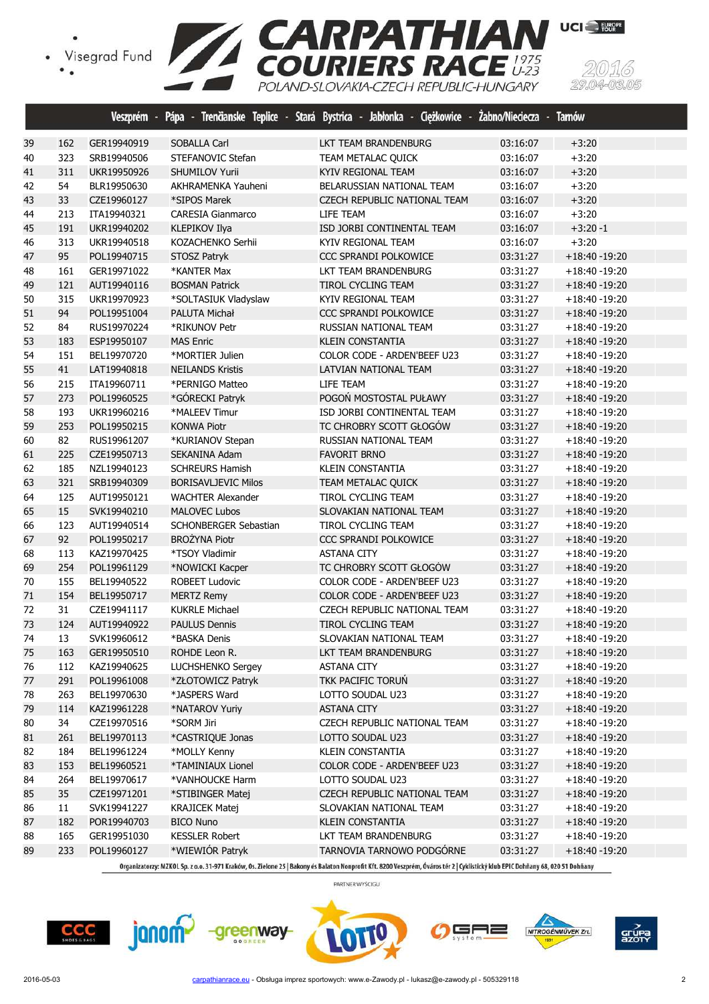



|    |     | Veszprém -  | Pápa -<br>Trenäanske Teplice -<br><b>Stará</b> | Jabłonka - Ciężkowice -<br>Bystrica - | Zabno/Nieciecza - | <b>Tarnów</b>    |  |
|----|-----|-------------|------------------------------------------------|---------------------------------------|-------------------|------------------|--|
| 39 | 162 | GER19940919 | <b>SOBALLA Carl</b>                            | LKT TEAM BRANDENBURG                  | 03:16:07          | $+3:20$          |  |
| 40 | 323 | SRB19940506 | STEFANOVIC Stefan                              | TEAM METALAC QUICK                    | 03:16:07          | $+3:20$          |  |
| 41 | 311 | UKR19950926 | SHUMILOV Yurii                                 | KYIV REGIONAL TEAM                    | 03:16:07          | $+3:20$          |  |
| 42 | 54  | BLR19950630 | AKHRAMENKA Yauheni                             | BELARUSSIAN NATIONAL TEAM             | 03:16:07          | $+3:20$          |  |
| 43 | 33  | CZE19960127 | *SIPOS Marek                                   | CZECH REPUBLIC NATIONAL TEAM          | 03:16:07          | $+3:20$          |  |
| 44 | 213 | ITA19940321 | <b>CARESIA Gianmarco</b>                       | LIFE TEAM                             | 03:16:07          | $+3:20$          |  |
| 45 | 191 | UKR19940202 | KLEPIKOV Ilya                                  | ISD JORBI CONTINENTAL TEAM            | 03:16:07          | $+3:20 - 1$      |  |
| 46 | 313 | UKR19940518 | KOZACHENKO Serhii                              | KYIV REGIONAL TEAM                    | 03:16:07          | $+3:20$          |  |
| 47 | 95  | POL19940715 | STOSZ Patryk                                   | <b>CCC SPRANDI POLKOWICE</b>          | 03:31:27          | $+18:40 - 19:20$ |  |
| 48 | 161 | GER19971022 | *KANTER Max                                    | LKT TEAM BRANDENBURG                  | 03:31:27          | $+18:40 - 19:20$ |  |
| 49 | 121 | AUT19940116 | <b>BOSMAN Patrick</b>                          | TIROL CYCLING TEAM                    | 03:31:27          | $+18:40 - 19:20$ |  |
| 50 | 315 | UKR19970923 | *SOLTASIUK Vladyslaw                           | KYIV REGIONAL TEAM                    | 03:31:27          | $+18:40 - 19:20$ |  |
| 51 | 94  | POL19951004 | PALUTA Michał                                  | CCC SPRANDI POLKOWICE                 | 03:31:27          | $+18:40 - 19:20$ |  |
| 52 | 84  | RUS19970224 | *RIKUNOV Petr                                  | RUSSIAN NATIONAL TEAM                 | 03:31:27          | $+18:40 - 19:20$ |  |
| 53 | 183 | ESP19950107 | <b>MAS Enric</b>                               | <b>KLEIN CONSTANTIA</b>               | 03:31:27          | $+18:40 - 19:20$ |  |
| 54 | 151 | BEL19970720 | *MORTIER Julien                                | COLOR CODE - ARDEN'BEEF U23           | 03:31:27          | $+18:40 - 19:20$ |  |
| 55 | 41  | LAT19940818 | <b>NEILANDS Kristis</b>                        | LATVIAN NATIONAL TEAM                 | 03:31:27          | $+18:40 - 19:20$ |  |
| 56 | 215 | ITA19960711 | *PERNIGO Matteo                                | LIFE TEAM                             | 03:31:27          | $+18:40 - 19:20$ |  |
| 57 | 273 | POL19960525 | *GÓRECKI Patryk                                | POGOŃ MOSTOSTAL PUŁAWY                | 03:31:27          | $+18:40 - 19:20$ |  |
| 58 | 193 | UKR19960216 | *MALEEV Timur                                  | ISD JORBI CONTINENTAL TEAM            | 03:31:27          | +18:40 -19:20    |  |
| 59 | 253 | POL19950215 | <b>KONWA Piotr</b>                             | TC CHROBRY SCOTT GŁOGÓW               | 03:31:27          | $+18:40 - 19:20$ |  |
| 60 | 82  | RUS19961207 | *KURIANOV Stepan                               | RUSSIAN NATIONAL TEAM                 | 03:31:27          | $+18:40 - 19:20$ |  |
| 61 | 225 | CZE19950713 | <b>SEKANINA Adam</b>                           | <b>FAVORIT BRNO</b>                   | 03:31:27          | +18:40 -19:20    |  |
| 62 | 185 | NZL19940123 | <b>SCHREURS Hamish</b>                         | <b>KLEIN CONSTANTIA</b>               | 03:31:27          | $+18:40 - 19:20$ |  |
| 63 | 321 | SRB19940309 | <b>BORISAVLJEVIC Milos</b>                     | <b>TEAM METALAC QUICK</b>             | 03:31:27          | $+18:40 - 19:20$ |  |
| 64 | 125 | AUT19950121 | <b>WACHTER Alexander</b>                       | TIROL CYCLING TEAM                    | 03:31:27          | $+18:40 - 19:20$ |  |
| 65 | 15  | SVK19940210 | <b>MALOVEC Lubos</b>                           | SLOVAKIAN NATIONAL TEAM               | 03:31:27          | $+18:40 - 19:20$ |  |
| 66 | 123 | AUT19940514 | SCHONBERGER Sebastian                          | TIROL CYCLING TEAM                    | 03:31:27          | $+18:40 - 19:20$ |  |
| 67 | 92  | POL19950217 | <b>BROŻYNA Piotr</b>                           | CCC SPRANDI POLKOWICE                 | 03:31:27          | $+18:40 - 19:20$ |  |
| 68 | 113 | KAZ19970425 | *TSOY Vladimir                                 | <b>ASTANA CITY</b>                    | 03:31:27          | $+18:40 - 19:20$ |  |
| 69 | 254 | POL19961129 | *NOWICKI Kacper                                | TC CHROBRY SCOTT GŁOGÓW               | 03:31:27          | $+18:40 - 19:20$ |  |
| 70 | 155 | BEL19940522 | <b>ROBEET Ludovic</b>                          | COLOR CODE - ARDEN'BEEF U23           | 03:31:27          | $+18:40 - 19:20$ |  |
| 71 | 154 | BEL19950717 | <b>MERTZ Remy</b>                              | COLOR CODE - ARDEN'BEEF U23           | 03:31:27          | $+18:40 - 19:20$ |  |
| 72 | 31  | CZE19941117 | <b>KUKRLE Michael</b>                          | CZECH REPUBLIC NATIONAL TEAM          | 03:31:27          | $+18:40 - 19:20$ |  |
| 73 | 124 | AUT19940922 | <b>PAULUS Dennis</b>                           | TIROL CYCLING TEAM                    | 03:31:27          | $+18:40 - 19:20$ |  |
| 74 | 13  | SVK19960612 | *BASKA Denis                                   | SLOVAKIAN NATIONAL TEAM               | 03:31:27          | $+18:40 - 19:20$ |  |
| 75 | 163 | GER19950510 | ROHDE Leon R.                                  | LKT TEAM BRANDENBURG                  | 03:31:27          | $+18:40 - 19:20$ |  |
| 76 | 112 | KAZ19940625 | LUCHSHENKO Sergey                              | <b>ASTANA CITY</b>                    | 03:31:27          | $+18:40 - 19:20$ |  |
| 77 | 291 | POL19961008 | *ZŁOTOWICZ Patryk                              | TKK PACIFIC TORUN                     | 03:31:27          | $+18:40 - 19:20$ |  |
| 78 | 263 | BEL19970630 | *JASPERS Ward                                  | LOTTO SOUDAL U23                      | 03:31:27          | $+18:40 - 19:20$ |  |
| 79 | 114 | KAZ19961228 | *NATAROV Yuriy                                 | <b>ASTANA CITY</b>                    | 03:31:27          | $+18:40 - 19:20$ |  |
| 80 | 34  | CZE19970516 | *SORM Jiri                                     | CZECH REPUBLIC NATIONAL TEAM          | 03:31:27          | $+18:40 - 19:20$ |  |
| 81 | 261 | BEL19970113 | *CASTRIQUE Jonas                               | LOTTO SOUDAL U23                      | 03:31:27          | $+18:40 - 19:20$ |  |
| 82 | 184 | BEL19961224 | *MOLLY Kenny                                   | KLEIN CONSTANTIA                      | 03:31:27          | $+18:40 - 19:20$ |  |
| 83 | 153 | BEL19960521 | *TAMINIAUX Lionel                              | COLOR CODE - ARDEN'BEEF U23           | 03:31:27          | $+18:40 - 19:20$ |  |
| 84 | 264 | BEL19970617 | *VANHOUCKE Harm                                | LOTTO SOUDAL U23                      | 03:31:27          | $+18:40 - 19:20$ |  |
| 85 | 35  | CZE19971201 | *STIBINGER Matej                               | CZECH REPUBLIC NATIONAL TEAM          | 03:31:27          | $+18:40 - 19:20$ |  |
| 86 | 11  | SVK19941227 | <b>KRAJICEK Matej</b>                          | SLOVAKIAN NATIONAL TEAM               | 03:31:27          | $+18:40 - 19:20$ |  |
| 87 | 182 | POR19940703 | <b>BICO Nuno</b>                               | <b>KLEIN CONSTANTIA</b>               | 03:31:27          | $+18:40 - 19:20$ |  |
| 88 | 165 | GER19951030 | <b>KESSLER Robert</b>                          | LKT TEAM BRANDENBURG                  | 03:31:27          | $+18:40 - 19:20$ |  |
| 89 | 233 | POL19960127 | *WIEWIÓR Patryk                                | TARNOVIA TARNOWO PODGÓRNE             | 03:31:27          | $+18:40 - 19:20$ |  |

Organizatorzy: MZKOL Sp. z o.o. 31-971 Kraków, Os. Zielone 25 | Bakony és Balaton Nonprofit Kft. 8200 Veszprém, Óváros tér 2 | Cyklistický klub EPIC Dohňany 68, 020 51 Dohňany







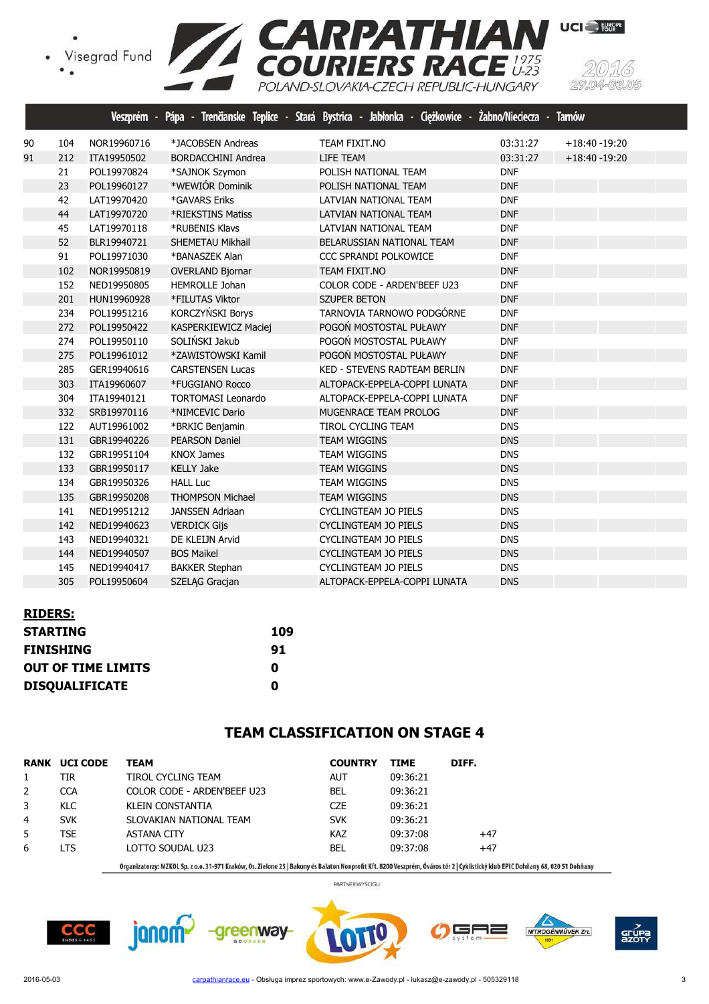•<br>• Visegrad Fund<br>• •



|    |     |             |                           | Veszprém - Pápa - Trenčianske Teplice - Stará Bystrica - Jabłonka - Ciężkowice - Żabno/Nieciecza - | <b>Tarnów</b>                |
|----|-----|-------------|---------------------------|----------------------------------------------------------------------------------------------------|------------------------------|
| 90 | 104 | NOR19960716 | *JACOBSEN Andreas         | TEAM FIXIT.NO                                                                                      | 03:31:27<br>$+18:40 - 19:20$ |
| 91 | 212 | ITA19950502 | <b>BORDACCHINI Andrea</b> | LIFE TEAM                                                                                          | 03:31:27<br>$+18:40 - 19:20$ |
|    | 21  | POL19970824 | *SAJNOK Szymon            | POLISH NATIONAL TEAM                                                                               | <b>DNF</b>                   |
|    | 23  | POL19960127 | *WEWIÓR Dominik           | POLISH NATIONAL TEAM                                                                               | <b>DNF</b>                   |
|    | 42  | LAT19970420 | *GAVARS Eriks             | LATVIAN NATIONAL TEAM                                                                              | <b>DNF</b>                   |
|    | 44  | LAT19970720 | *RIEKSTINS Matiss         | LATVIAN NATIONAL TEAM                                                                              | <b>DNF</b>                   |
|    | 45  | LAT19970118 | *RUBENIS Klavs            | LATVIAN NATIONAL TEAM                                                                              | <b>DNF</b>                   |
|    | 52  | BLR19940721 | <b>SHEMETAU Mikhail</b>   | BELARUSSIAN NATIONAL TEAM                                                                          | <b>DNF</b>                   |
|    | 91  | POL19971030 | *BANASZEK Alan            | CCC SPRANDI POLKOWICE                                                                              | <b>DNF</b>                   |
|    | 102 | NOR19950819 | <b>OVERLAND Bjornar</b>   | <b>TEAM FIXIT.NO</b>                                                                               | <b>DNF</b>                   |
|    | 152 | NED19950805 | <b>HEMROLLE Johan</b>     | COLOR CODE - ARDEN'BEEF U23                                                                        | <b>DNF</b>                   |
|    | 201 | HUN19960928 | *FILUTAS Viktor           | <b>SZUPER BETON</b>                                                                                | <b>DNF</b>                   |
|    | 234 | POL19951216 | KORCZYŃSKI Borys          | TARNOVIA TARNOWO PODGÓRNE                                                                          | <b>DNF</b>                   |
|    | 272 | POL19950422 | KASPERKIEWICZ Maciej      | POGOŃ MOSTOSTAL PUŁAWY                                                                             | <b>DNF</b>                   |
|    | 274 | POL19950110 | SOLIŃSKI Jakub            | POGOŃ MOSTOSTAL PUŁAWY                                                                             | <b>DNF</b>                   |
|    | 275 | POL19961012 | *ZAWISTOWSKI Kamil        | POGOŃ MOSTOSTAL PUŁAWY                                                                             | <b>DNF</b>                   |
|    | 285 | GER19940616 | <b>CARSTENSEN Lucas</b>   | KED - STEVENS RADTEAM BERLIN                                                                       | <b>DNF</b>                   |
|    | 303 | ITA19960607 | *FUGGIANO Rocco           | ALTOPACK-EPPELA-COPPI LUNATA                                                                       | <b>DNF</b>                   |
|    | 304 | ITA19940121 | <b>TORTOMASI Leonardo</b> | ALTOPACK-EPPELA-COPPI LUNATA                                                                       | <b>DNF</b>                   |
|    | 332 | SRB19970116 | *NIMCEVIC Dario           | MUGENRACE TEAM PROLOG                                                                              | <b>DNF</b>                   |
|    | 122 | AUT19961002 | *BRKIC Benjamin           | <b>TIROL CYCLING TEAM</b>                                                                          | <b>DNS</b>                   |
|    | 131 | GBR19940226 | <b>PEARSON Daniel</b>     | <b>TEAM WIGGINS</b>                                                                                | <b>DNS</b>                   |
|    | 132 | GBR19951104 | <b>KNOX James</b>         | <b>TEAM WIGGINS</b>                                                                                | <b>DNS</b>                   |
|    | 133 | GBR19950117 | <b>KELLY Jake</b>         | <b>TEAM WIGGINS</b>                                                                                | <b>DNS</b>                   |
|    | 134 | GBR19950326 | <b>HALL Luc</b>           | <b>TEAM WIGGINS</b>                                                                                | <b>DNS</b>                   |
|    | 135 | GBR19950208 | <b>THOMPSON Michael</b>   | <b>TEAM WIGGINS</b>                                                                                | <b>DNS</b>                   |
|    | 141 | NED19951212 | <b>JANSSEN Adriaan</b>    | <b>CYCLINGTEAM JO PIELS</b>                                                                        | <b>DNS</b>                   |
|    | 142 | NED19940623 | <b>VERDICK Gijs</b>       | <b>CYCLINGTEAM JO PIELS</b>                                                                        | <b>DNS</b>                   |
|    | 143 | NED19940321 | DE KLEIJN Arvid           | <b>CYCLINGTEAM JO PIELS</b>                                                                        | <b>DNS</b>                   |
|    | 144 | NED19940507 | <b>BOS Maikel</b>         | <b>CYCLINGTEAM JO PIELS</b>                                                                        | <b>DNS</b>                   |
|    | 145 | NED19940417 | <b>BAKKER Stephan</b>     | CYCLINGTEAM JO PIELS                                                                               | <b>DNS</b>                   |
|    | 305 | POL19950604 | SZELĄG Gracjan            | ALTOPACK-EPPELA-COPPI LUNATA                                                                       | <b>DNS</b>                   |

# **RIDERS: STARTING 109**

| 91 |
|----|
| O  |
| O  |
|    |

janom<sup>2</sup>

### **TEAM CLASSIFICATION ON STAGE 4**

| RANK           | <b>UCI CODE</b> | <b>TEAM</b>                 | <b>COUNTRY</b> | <b>TIME</b> | DIFF. |
|----------------|-----------------|-----------------------------|----------------|-------------|-------|
|                | TIR             | TIROL CYCLING TEAM          | <b>AUT</b>     | 09:36:21    |       |
| 2              | <b>CCA</b>      | COLOR CODE - ARDEN'BEEF U23 | <b>BEL</b>     | 09:36:21    |       |
| 3              | KLC.            | KLEIN CONSTANTIA            | <b>CZE</b>     | 09:36:21    |       |
| $\overline{4}$ | <b>SVK</b>      | SLOVAKIAN NATIONAL TEAM     | <b>SVK</b>     | 09:36:21    |       |
| 5              | <b>TSE</b>      | <b>ASTANA CITY</b>          | KAZ            | 09:37:08    | $+47$ |
| 6              | <b>LTS</b>      | LOTTO SOUDAL U23            | BEL            | 09:37:08    | $+47$ |

-greenway-

Organizatorzy: MZKOL Sp. z o.o. 31-971 Kraków, Os. Zielone 25 | Bakony és Balaton Nonprofit Kft. 8200 Veszprém, Óváros tér 2 | Cyklistický klub EPIC Dohňany 68, 020 51 Dohňany PARTNER WYŚCIGU





╕═

NITROGÉNMŰVEK Zrt.

2016-05-03 carpathianrace.eu - Obsługa imprez sportowych: www.e-Zawody.pl - lukasz@e-zawody.pl - 505329118 3 3

grúp<br>Azot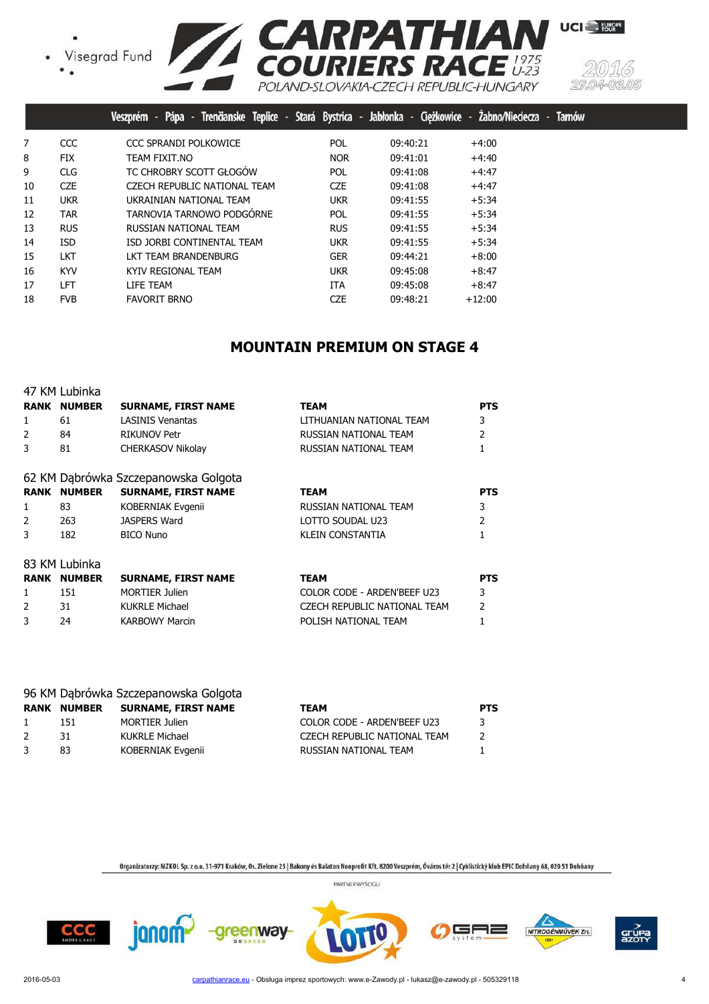





|    |            | Pápa - Trenčianske Teplice - Stará Bystrica - Jabłonka - Ciężkowice - Żabno/Nieciecza -<br>Veszprém |            |          |          | <b>Tamów</b> |
|----|------------|-----------------------------------------------------------------------------------------------------|------------|----------|----------|--------------|
| 7  | CCC        | CCC SPRANDI POLKOWICE                                                                               | POL        | 09:40:21 | $+4:00$  |              |
| 8  | <b>FIX</b> | TEAM FIXIT.NO                                                                                       | <b>NOR</b> | 09:41:01 | $+4:40$  |              |
| 9  | <b>CLG</b> | TC CHROBRY SCOTT GŁOGÓW                                                                             | <b>POL</b> | 09:41:08 | $+4:47$  |              |
| 10 | <b>CZE</b> | CZECH REPUBLIC NATIONAL TEAM                                                                        | <b>CZE</b> | 09:41:08 | $+4:47$  |              |
| 11 | <b>UKR</b> | UKRAINIAN NATIONAL TEAM                                                                             | <b>UKR</b> | 09:41:55 | $+5:34$  |              |
| 12 | <b>TAR</b> | TARNOVIA TARNOWO PODGÓRNE                                                                           | <b>POL</b> | 09:41:55 | $+5:34$  |              |
| 13 | <b>RUS</b> | RUSSIAN NATIONAL TEAM                                                                               | <b>RUS</b> | 09:41:55 | $+5:34$  |              |
| 14 | <b>ISD</b> | ISD JORBI CONTINENTAL TEAM                                                                          | <b>UKR</b> | 09:41:55 | $+5:34$  |              |
| 15 | <b>LKT</b> | LKT TEAM BRANDENBURG                                                                                | <b>GER</b> | 09:44:21 | $+8:00$  |              |
| 16 | <b>KYV</b> | KYIV REGIONAL TEAM                                                                                  | <b>UKR</b> | 09:45:08 | $+8:47$  |              |
| 17 | LFT        | LIFE TEAM                                                                                           | <b>ITA</b> | 09:45:08 | $+8:47$  |              |
| 18 | <b>FVB</b> | <b>FAVORIT BRNO</b>                                                                                 | <b>CZE</b> | 09:48:21 | $+12:00$ |              |

#### **MOUNTAIN PREMIUM ON STAGE 4**

|   | 47 KM Lubinka      |                                      |                              |                |
|---|--------------------|--------------------------------------|------------------------------|----------------|
|   | <b>RANK NUMBER</b> | <b>SURNAME, FIRST NAME</b>           | <b>TEAM</b>                  | <b>PTS</b>     |
| 1 | 61                 | <b>LASINIS Venantas</b>              | LITHUANIAN NATIONAL TEAM     | 3              |
| 2 | 84                 | <b>RIKUNOV Petr</b>                  | RUSSIAN NATIONAL TEAM        | $\overline{2}$ |
| 3 | 81                 | <b>CHERKASOV Nikolay</b>             | RUSSIAN NATIONAL TEAM        |                |
|   |                    | 62 KM Dąbrówka Szczepanowska Golgota |                              |                |
|   | <b>RANK NUMBER</b> | <b>SURNAME, FIRST NAME</b>           | <b>TEAM</b>                  | <b>PTS</b>     |
| 1 | 83                 | KOBERNIAK Evgenii                    | RUSSIAN NATIONAL TEAM        | 3              |
| 2 | 263                | JASPERS Ward                         | LOTTO SOUDAL U23             | 2              |
| 3 | 182                | <b>BICO Nuno</b>                     | KLEIN CONSTANTIA             |                |
|   | 83 KM Lubinka      |                                      |                              |                |
|   | <b>RANK NUMBER</b> | <b>SURNAME, FIRST NAME</b>           | <b>TEAM</b>                  | <b>PTS</b>     |
| 1 | 151                | <b>MORTIER Julien</b>                | COLOR CODE - ARDEN'BEEF U23  | 3              |
| 2 | 31                 | <b>KUKRLE Michael</b>                | CZECH REPUBLIC NATIONAL TEAM | $\mathcal{P}$  |
| 3 | 24                 | <b>KARBOWY Marcin</b>                | POLISH NATIONAL TEAM         |                |

|               |               | 96 KM Dąbrówka Szczepanowska Golgota |                              |            |
|---------------|---------------|--------------------------------------|------------------------------|------------|
| <b>RANK</b>   | <b>NUMBER</b> | <b>SURNAME, FIRST NAME</b>           | <b>TEAM</b>                  | <b>PTS</b> |
| $\mathbf{1}$  | 151           | <b>MORTIER Julien</b>                | COLOR CODE - ARDEN'BEEF U23  | 3          |
| $\mathcal{P}$ | 31            | KUKRLE Michael                       | CZECH REPUBLIC NATIONAL TEAM |            |
|               | 83            | <b>KOBERNIAK Evgenii</b>             | RUSSIAN NATIONAL TEAM        |            |

Organizatorzy: MZKOL Sp. z o.o. 31-971 Kraków, Os. Zielone 25 | Bakony és Balaton Nonprofit Kft. 8200 Veszprém, Óváros tér 2 | Cyklistický klub EPIC Dohňany 68, 020 51 Dohňany PARTNER WYŚCIGU









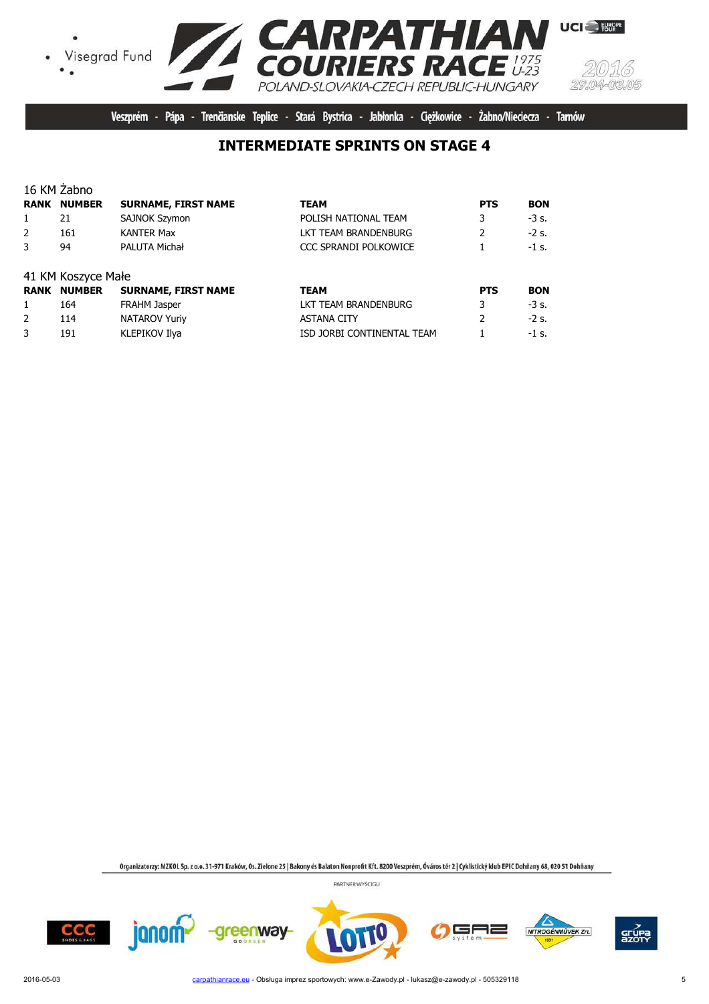





Veszprém - Pápa - Trenčianske Teplice - Stará Bystrica - Jabłonka - Ciężkowice - Żabno/Nieciecza - Tarnów

# **INTERMEDIATE SPRINTS ON STAGE 4**

|      | 16 KM Zabno        |                            |                            |                |            |
|------|--------------------|----------------------------|----------------------------|----------------|------------|
| RANK | <b>NUMBER</b>      | <b>SURNAME, FIRST NAME</b> | <b>TEAM</b>                | <b>PTS</b>     | <b>BON</b> |
| 1    | 21                 | SAJNOK Szymon              | POLISH NATIONAL TEAM       | 3              | $-3s.$     |
| 2    | 161                | <b>KANTER Max</b>          | LKT TEAM BRANDENBURG       | $\overline{2}$ | $-2s.$     |
| 3    | 94                 | PALUTA Michał              | CCC SPRANDI POLKOWICE      |                | $-1$ s.    |
|      | 41 KM Koszyce Małe |                            |                            |                |            |
|      | <b>RANK NUMBER</b> | <b>SURNAME, FIRST NAME</b> | <b>TEAM</b>                | <b>PTS</b>     | <b>BON</b> |
| 1    | 164                | <b>FRAHM Jasper</b>        | LKT TEAM BRANDENBURG       | 3              | $-3s$ .    |
| 2    | 114                | <b>NATAROV Yuriy</b>       | <b>ASTANA CITY</b>         | $\overline{2}$ | $-2$ s.    |
| 3    | 191                | KLEPIKOV Ilya              | ISD JORBI CONTINENTAL TEAM |                | $-1$ s.    |

Organizatorzy: MZKOL Sp. z o.o. 31-971 Kraków, Os. Zielone 25 | Bakony és Balaton Nonprofit Kft. 8200 Veszprém, Óváros tér 2 | Cyklistický klub EPIC Dohňany 68, 020 51 Dohňany









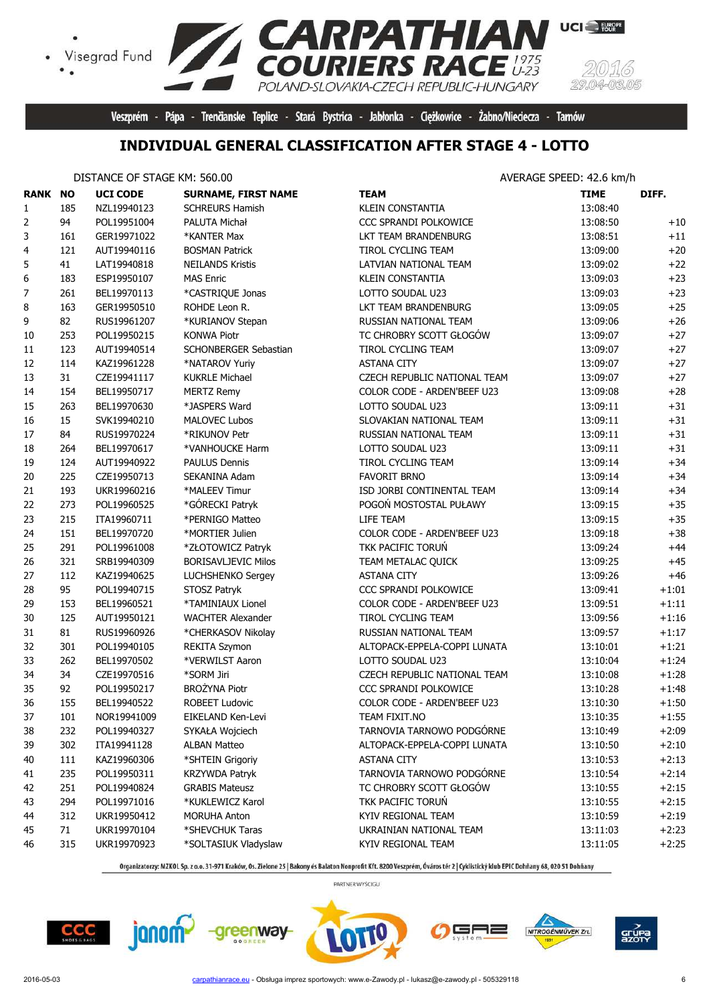

Veszprém - Pápa - Trenčianske Teplice - Stará Bystrica - Jabłonka - Ciężkowice - Żabno/Nieciecza - Tarnów

### **INDIVIDUAL GENERAL CLASSIFICATION AFTER STAGE 4 - LOTTO**

#### DISTANCE OF STAGE KM: 560.00

 $\bullet$ 

| AVERAGE SPEED: 42.6 km/h |  |
|--------------------------|--|
|                          |  |

| <b>RANK NO</b> |     | <b>UCI CODE</b> | <b>SURNAME, FIRST NAME</b> | <b>TEAM</b>                  | <b>TIME</b> | DIFF.   |
|----------------|-----|-----------------|----------------------------|------------------------------|-------------|---------|
| $\mathbf{1}$   | 185 | NZL19940123     | <b>SCHREURS Hamish</b>     | <b>KLEIN CONSTANTIA</b>      | 13:08:40    |         |
| 2              | 94  | POL19951004     | PALUTA Michał              | CCC SPRANDI POLKOWICE        | 13:08:50    | $+10$   |
| 3              | 161 | GER19971022     | *KANTER Max                | LKT TEAM BRANDENBURG         | 13:08:51    | $+11$   |
| 4              | 121 | AUT19940116     | <b>BOSMAN Patrick</b>      | TIROL CYCLING TEAM           | 13:09:00    | $+20$   |
| 5              | 41  | LAT19940818     | <b>NEILANDS Kristis</b>    | LATVIAN NATIONAL TEAM        | 13:09:02    | $+22$   |
| 6              | 183 | ESP19950107     | <b>MAS Enric</b>           | <b>KLEIN CONSTANTIA</b>      | 13:09:03    | $+23$   |
| 7              | 261 | BEL19970113     | *CASTRIQUE Jonas           | LOTTO SOUDAL U23             | 13:09:03    | $+23$   |
| 8              | 163 | GER19950510     | ROHDE Leon R.              | LKT TEAM BRANDENBURG         | 13:09:05    | $+25$   |
| 9              | 82  | RUS19961207     | *KURIANOV Stepan           | RUSSIAN NATIONAL TEAM        | 13:09:06    | $+26$   |
| 10             | 253 | POL19950215     | <b>KONWA Piotr</b>         | TC CHROBRY SCOTT GŁOGÓW      | 13:09:07    | $+27$   |
| 11             | 123 | AUT19940514     | SCHONBERGER Sebastian      | TIROL CYCLING TEAM           | 13:09:07    | $+27$   |
| 12             | 114 | KAZ19961228     | *NATAROV Yuriy             | <b>ASTANA CITY</b>           | 13:09:07    | $+27$   |
| 13             | 31  | CZE19941117     | <b>KUKRLE Michael</b>      | CZECH REPUBLIC NATIONAL TEAM | 13:09:07    | $+27$   |
| 14             | 154 | BEL19950717     | <b>MERTZ Remy</b>          | COLOR CODE - ARDEN'BEEF U23  | 13:09:08    | $+28$   |
| 15             | 263 | BEL19970630     | *JASPERS Ward              | LOTTO SOUDAL U23             | 13:09:11    | $+31$   |
| 16             | 15  | SVK19940210     | <b>MALOVEC Lubos</b>       | SLOVAKIAN NATIONAL TEAM      | 13:09:11    | $+31$   |
| 17             | 84  | RUS19970224     | *RIKUNOV Petr              | RUSSIAN NATIONAL TEAM        | 13:09:11    | $+31$   |
| 18             | 264 | BEL19970617     | *VANHOUCKE Harm            | LOTTO SOUDAL U23             | 13:09:11    | $+31$   |
| 19             | 124 | AUT19940922     | <b>PAULUS Dennis</b>       | TIROL CYCLING TEAM           | 13:09:14    | $+34$   |
| 20             | 225 | CZE19950713     | SEKANINA Adam              | <b>FAVORIT BRNO</b>          | 13:09:14    | $+34$   |
| 21             | 193 | UKR19960216     | *MALEEV Timur              | ISD JORBI CONTINENTAL TEAM   | 13:09:14    | $+34$   |
| 22             | 273 | POL19960525     | *GÓRECKI Patryk            | POGOŃ MOSTOSTAL PUŁAWY       | 13:09:15    | $+35$   |
| 23             | 215 | ITA19960711     | *PERNIGO Matteo            | LIFE TEAM                    | 13:09:15    | $+35$   |
| 24             | 151 | BEL19970720     | *MORTIER Julien            | COLOR CODE - ARDEN'BEEF U23  | 13:09:18    | $+38$   |
| 25             | 291 | POL19961008     | *ZŁOTOWICZ Patryk          | TKK PACIFIC TORUŃ            | 13:09:24    | $+44$   |
| 26             | 321 | SRB19940309     | <b>BORISAVLJEVIC Milos</b> | TEAM METALAC QUICK           | 13:09:25    | $+45$   |
| 27             | 112 | KAZ19940625     | LUCHSHENKO Sergey          | <b>ASTANA CITY</b>           | 13:09:26    | $+46$   |
| 28             | 95  | POL19940715     | STOSZ Patryk               | CCC SPRANDI POLKOWICE        | 13:09:41    | $+1:01$ |
| 29             | 153 | BEL19960521     | *TAMINIAUX Lionel          | COLOR CODE - ARDEN'BEEF U23  | 13:09:51    | $+1:11$ |
| 30             | 125 | AUT19950121     | <b>WACHTER Alexander</b>   | TIROL CYCLING TEAM           | 13:09:56    | $+1:16$ |
| 31             | 81  | RUS19960926     | *CHERKASOV Nikolay         | RUSSIAN NATIONAL TEAM        | 13:09:57    | $+1:17$ |
| 32             | 301 | POL19940105     | REKITA Szymon              | ALTOPACK-EPPELA-COPPI LUNATA | 13:10:01    | $+1:21$ |
| 33             | 262 | BEL19970502     | *VERWILST Aaron            | LOTTO SOUDAL U23             | 13:10:04    | $+1:24$ |
| 34             | 34  | CZE19970516     | *SORM Jiri                 | CZECH REPUBLIC NATIONAL TEAM | 13:10:08    | $+1:28$ |
| 35             | 92  | POL19950217     | <b>BROŻYNA Piotr</b>       | CCC SPRANDI POLKOWICE        | 13:10:28    | $+1:48$ |
| 36             | 155 | BEL19940522     | <b>ROBEET Ludovic</b>      | COLOR CODE - ARDEN'BEEF U23  | 13:10:30    | $+1:50$ |
| 37             | 101 | NOR19941009     | EIKELAND Ken-Levi          | TEAM FIXIT.NO                | 13:10:35    | $+1:55$ |
| 38             | 232 | POL19940327     | SYKAŁA Wojciech            | TARNOVIA TARNOWO PODGÓRNE    | 13:10:49    | $+2:09$ |
| 39             | 302 | ITA19941128     | <b>ALBAN Matteo</b>        | ALTOPACK-EPPELA-COPPI LUNATA | 13:10:50    | $+2:10$ |
| 40             | 111 | KAZ19960306     | *SHTEIN Grigoriy           | <b>ASTANA CITY</b>           | 13:10:53    | $+2:13$ |
| 41             | 235 | POL19950311     | KRZYWDA Patryk             | TARNOVIA TARNOWO PODGÓRNE    | 13:10:54    | $+2:14$ |
| 42             | 251 | POL19940824     | <b>GRABIS Mateusz</b>      | TC CHROBRY SCOTT GŁOGÓW      | 13:10:55    | $+2:15$ |
| 43             | 294 | POL19971016     | *KUKLEWICZ Karol           | TKK PACIFIC TORUŃ            | 13:10:55    | $+2:15$ |
| 44             | 312 | UKR19950412     | <b>MORUHA Anton</b>        | KYIV REGIONAL TEAM           | 13:10:59    | $+2:19$ |
| 45             | 71  | UKR19970104     | *SHEVCHUK Taras            | UKRAINIAN NATIONAL TEAM      | 13:11:03    | $+2:23$ |
| 46             | 315 | UKR19970923     | *SOLTASIUK Vladyslaw       | KYIV REGIONAL TEAM           | 13:11:05    | $+2:25$ |

Organizatorzy: MZKOL Sp. z o.o. 31-971 Kraków, Os. Zielone 25 | Bakony és Balaton Nonprofit Kft. 8200 Veszprém, Óváros tér 2 | Cyklistický klub EPIC Dohňany 68, 020 51 Dohňany





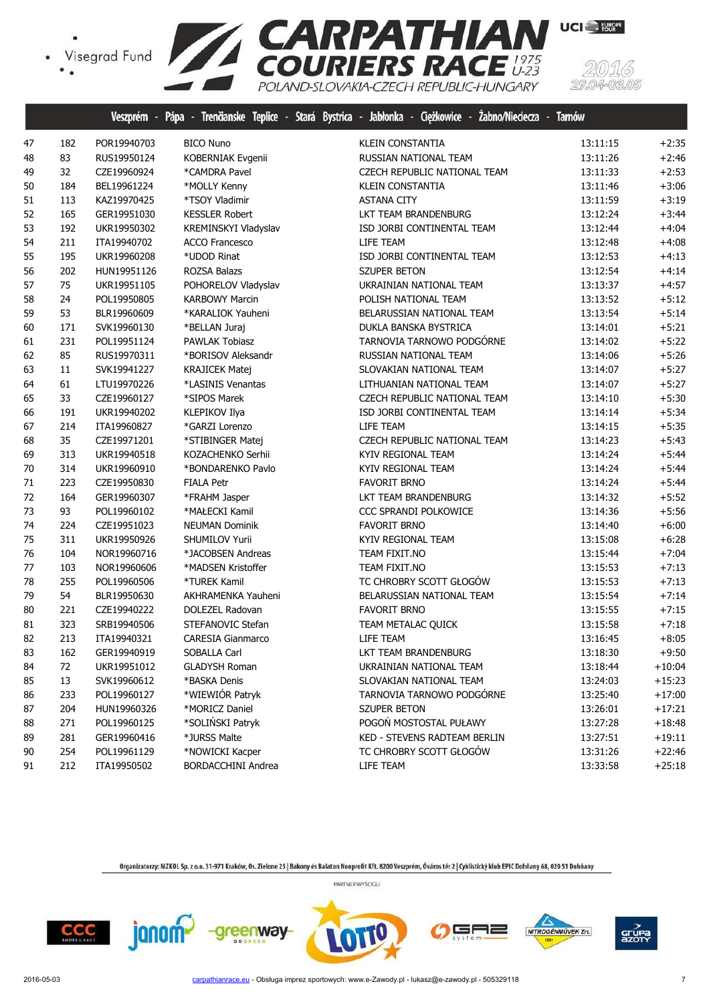

|    |        |             |                       | Veszprém - Pápa - Trenčianske Teplice - Stará Bystrica - Jabłonka - Ciężkowice - Zabno/Nieciecza - Tarnów |          |          |
|----|--------|-------------|-----------------------|-----------------------------------------------------------------------------------------------------------|----------|----------|
| 47 | 182    | POR19940703 | <b>BICO Nuno</b>      | <b>KLEIN CONSTANTIA</b>                                                                                   | 13:11:15 | $+2:35$  |
| 48 | 83     | RUS19950124 | KOBERNIAK Evgenii     | RUSSIAN NATIONAL TEAM                                                                                     | 13:11:26 | $+2:46$  |
| 49 | 32     | CZE19960924 | *CAMDRA Pavel         | CZECH REPUBLIC NATIONAL TEAM                                                                              | 13:11:33 | $+2:53$  |
| 50 | 184    | BEL19961224 | *MOLLY Kenny          | <b>KLEIN CONSTANTIA</b>                                                                                   | 13:11:46 | $+3:06$  |
| 51 | 113    | KAZ19970425 | *TSOY Vladimir        | <b>ASTANA CITY</b>                                                                                        | 13:11:59 | $+3:19$  |
| 52 | 165    | GER19951030 | <b>KESSLER Robert</b> | LKT TEAM BRANDENBURG                                                                                      | 13:12:24 | $+3:44$  |
| 53 | 192    | UKR19950302 | KREMINSKYI Vladyslav  | ISD JORBI CONTINENTAL TEAM                                                                                | 13:12:44 | $+4:04$  |
| 54 | 211    | ITA19940702 | <b>ACCO Francesco</b> | LIFE TEAM                                                                                                 | 13:12:48 | $+4:08$  |
| 55 | 195    | UKR19960208 | *UDOD Rinat           | ISD JORBI CONTINENTAL TEAM                                                                                | 13:12:53 | $+4:13$  |
| 56 | 202    | HUN19951126 | ROZSA Balazs          | <b>SZUPER BETON</b>                                                                                       | 13:12:54 | $+4:14$  |
| 57 | 75     | UKR19951105 | POHORELOV Vladyslav   | UKRAINIAN NATIONAL TEAM                                                                                   | 13:13:37 | $+4:57$  |
| 58 | 24     | POL19950805 | <b>KARBOWY Marcin</b> | POLISH NATIONAL TEAM                                                                                      | 13:13:52 | $+5:12$  |
| 59 | 53     | BLR19960609 | *KARALIOK Yauheni     | BELARUSSIAN NATIONAL TEAM                                                                                 | 13:13:54 | $+5:14$  |
| 60 | 171    | SVK19960130 | *BELLAN Juraj         | DUKLA BANSKA BYSTRICA                                                                                     | 13:14:01 | $+5:21$  |
| 61 | 231    | POL19951124 | PAWLAK Tobiasz        | TARNOVIA TARNOWO PODGÓRNE                                                                                 | 13:14:02 | $+5:22$  |
| 62 | 85     | RUS19970311 | *BORISOV Aleksandr    | RUSSIAN NATIONAL TEAM                                                                                     | 13:14:06 | $+5:26$  |
| 63 | $11\,$ | SVK19941227 | <b>KRAJICEK Matej</b> | SLOVAKIAN NATIONAL TEAM                                                                                   | 13:14:07 | $+5:27$  |
| 64 | 61     | LTU19970226 | *LASINIS Venantas     | LITHUANIAN NATIONAL TEAM                                                                                  | 13:14:07 | $+5:27$  |
| 65 | 33     | CZE19960127 | *SIPOS Marek          | CZECH REPUBLIC NATIONAL TEAM                                                                              | 13:14:10 | $+5:30$  |
| 66 | 191    | UKR19940202 | KLEPIKOV Ilya         | ISD JORBI CONTINENTAL TEAM                                                                                | 13:14:14 | $+5:34$  |
| 67 | 214    | ITA19960827 | *GARZI Lorenzo        | LIFE TEAM                                                                                                 | 13:14:15 | $+5:35$  |
| 68 | 35     | CZE19971201 | *STIBINGER Matej      | CZECH REPUBLIC NATIONAL TEAM                                                                              | 13:14:23 | $+5:43$  |
| 69 | 313    | UKR19940518 | KOZACHENKO Serhii     | KYIV REGIONAL TEAM                                                                                        | 13:14:24 | $+5:44$  |
| 70 | 314    | UKR19960910 | *BONDARENKO Pavlo     | KYIV REGIONAL TEAM                                                                                        | 13:14:24 | $+5:44$  |
| 71 | 223    | CZE19950830 | <b>FIALA Petr</b>     | <b>FAVORIT BRNO</b>                                                                                       | 13:14:24 | $+5:44$  |
| 72 | 164    | GER19960307 | *FRAHM Jasper         | LKT TEAM BRANDENBURG                                                                                      | 13:14:32 | $+5:52$  |
| 73 | 93     | POL19960102 | *MAŁECKI Kamil        | CCC SPRANDI POLKOWICE                                                                                     | 13:14:36 | $+5:56$  |
| 74 | 224    | CZE19951023 | <b>NEUMAN Dominik</b> | <b>FAVORIT BRNO</b>                                                                                       | 13:14:40 | $+6:00$  |
| 75 | 311    | UKR19950926 | SHUMILOV Yurii        | KYIV REGIONAL TEAM                                                                                        | 13:15:08 | $+6:28$  |
| 76 | 104    | NOR19960716 | *JACOBSEN Andreas     | TEAM FIXIT.NO                                                                                             | 13:15:44 | $+7:04$  |
| 77 | 103    | NOR19960606 | *MADSEN Kristoffer    | TEAM FIXIT.NO                                                                                             | 13:15:53 | $+7:13$  |
| 78 | 255    | POL19960506 | *TUREK Kamil          | TC CHROBRY SCOTT GŁOGÓW                                                                                   | 13:15:53 | $+7:13$  |
| 79 | 54     | BLR19950630 | AKHRAMENKA Yauheni    | BELARUSSIAN NATIONAL TEAM                                                                                 | 13:15:54 | $+7:14$  |
| 80 | 221    | CZE19940222 | DOLEZEL Radovan       | <b>FAVORIT BRNO</b>                                                                                       | 13:15:55 | $+7:15$  |
| 81 | 323    | SRB19940506 | STEFANOVIC Stefan     | TEAM METALAC QUICK                                                                                        | 13:15:58 | $+7:18$  |
| 82 | 213    | ITA19940321 | CARESIA Gianmarco     | LIFE TEAM                                                                                                 | 13:16:45 | $+8:05$  |
| 83 | 162    | GER19940919 | SOBALLA Carl          | LKT TEAM BRANDENBURG                                                                                      | 13:18:30 | $+9:50$  |
| 84 | 72     | UKR19951012 | <b>GLADYSH Roman</b>  | UKRAINIAN NATIONAL TEAM                                                                                   | 13:18:44 | $+10:04$ |
| 85 | 13     | SVK19960612 | *BASKA Denis          | SLOVAKIAN NATIONAL TEAM                                                                                   | 13:24:03 | $+15:23$ |
| 86 | 233    | POL19960127 | *WIEWIÓR Patryk       | TARNOVIA TARNOWO PODGÓRNE                                                                                 | 13:25:40 | $+17:00$ |
| 87 | 204    | HUN19960326 | *MORICZ Daniel        | <b>SZUPER BETON</b>                                                                                       | 13:26:01 | $+17:21$ |
| 88 | 271    | POL19960125 | *SOLIŃSKI Patryk      | POGOŃ MOSTOSTAL PUŁAWY                                                                                    | 13:27:28 | $+18:48$ |
| 89 | 281    | GER19960416 | *JURSS Malte          | KED - STEVENS RADTEAM BERLIN                                                                              | 13:27:51 | $+19:11$ |
| 90 | 254    | POL19961129 | *NOWICKI Kacper       | TC CHROBRY SCOTT GŁOGÓW                                                                                   | 13:31:26 | $+22:46$ |
| 91 | 212    | ITA19950502 | BORDACCHINI Andrea    | LIFE TEAM                                                                                                 | 13:33:58 | $+25:18$ |

Organizatorzy: MZKOL Sp. z o.o. 31-971 Kraków, Os. Zielone 25 | Bakony és Balaton Nonprofit Kft. 8200 Veszprém, Óváros tér 2 | Cyklistický klub EPIC Dohňany 68, 020 51 Dohňany PARTNER WYŚCIGU











(5)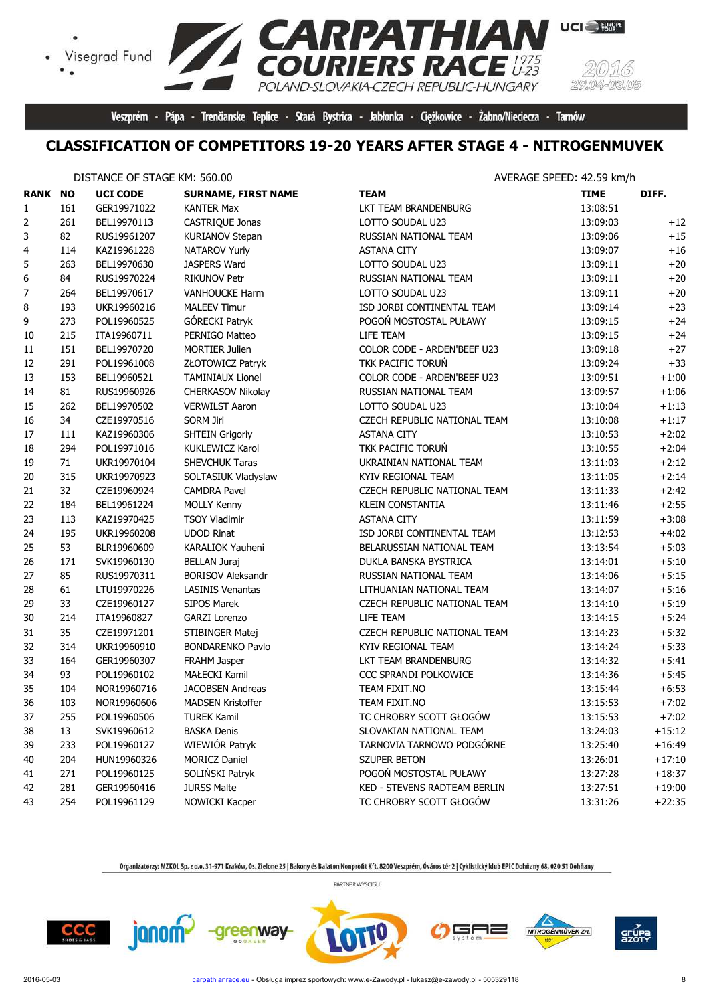

Veszprém - Pápa - Trenčianske Teplice - Stará Bystrica - Jabłonka - Ciężkowice - Żabno/Nieciecza - Tarnów

#### **CLASSIFICATION OF COMPETITORS 19-20 YEARS AFTER STAGE 4 - NITROGENMUVEK**

#### DISTANCE OF STAGE KM: 560.00

 $\bullet$ 

| <b>RANK NO</b>   |     | <b>UCI CODE</b> | <b>SURNAME, FIRST NAME</b> | <b>TEAM</b>                  | <b>TIME</b> | DIFF.    |
|------------------|-----|-----------------|----------------------------|------------------------------|-------------|----------|
| 1                | 161 | GER19971022     | <b>KANTER Max</b>          | LKT TEAM BRANDENBURG         | 13:08:51    |          |
| 2                | 261 | BEL19970113     | CASTRIQUE Jonas            | LOTTO SOUDAL U23             | 13:09:03    | $+12$    |
| 3                | 82  | RUS19961207     | <b>KURIANOV Stepan</b>     | RUSSIAN NATIONAL TEAM        | 13:09:06    | $+15$    |
| 4                | 114 | KAZ19961228     | <b>NATAROV Yuriy</b>       | <b>ASTANA CITY</b>           | 13:09:07    | $+16$    |
| 5                | 263 | BEL19970630     | JASPERS Ward               | LOTTO SOUDAL U23             | 13:09:11    | $+20$    |
| 6                | 84  | RUS19970224     | <b>RIKUNOV Petr</b>        | RUSSIAN NATIONAL TEAM        | 13:09:11    | $+20$    |
| $\boldsymbol{7}$ | 264 | BEL19970617     | <b>VANHOUCKE Harm</b>      | LOTTO SOUDAL U23             | 13:09:11    | $+20$    |
| 8                | 193 | UKR19960216     | <b>MALEEV Timur</b>        | ISD JORBI CONTINENTAL TEAM   | 13:09:14    | $+23$    |
| 9                | 273 | POL19960525     | GÓRECKI Patryk             | POGOŃ MOSTOSTAL PUŁAWY       | 13:09:15    | $+24$    |
| 10               | 215 | ITA19960711     | PERNIGO Matteo             | LIFE TEAM                    | 13:09:15    | $+24$    |
| 11               | 151 | BEL19970720     | <b>MORTIER Julien</b>      | COLOR CODE - ARDEN'BEEF U23  | 13:09:18    | $+27$    |
| 12               | 291 | POL19961008     | ZŁOTOWICZ Patryk           | TKK PACIFIC TORUŃ            | 13:09:24    | $+33$    |
| 13               | 153 | BEL19960521     | <b>TAMINIAUX Lionel</b>    | COLOR CODE - ARDEN'BEEF U23  | 13:09:51    | $+1:00$  |
| 14               | 81  | RUS19960926     | CHERKASOV Nikolay          | RUSSIAN NATIONAL TEAM        | 13:09:57    | $+1:06$  |
| 15               | 262 | BEL19970502     | <b>VERWILST Aaron</b>      | LOTTO SOUDAL U23             | 13:10:04    | $+1:13$  |
| 16               | 34  | CZE19970516     | <b>SORM Jiri</b>           | CZECH REPUBLIC NATIONAL TEAM | 13:10:08    | $+1:17$  |
| 17               | 111 | KAZ19960306     | <b>SHTEIN Grigoriy</b>     | <b>ASTANA CITY</b>           | 13:10:53    | $+2:02$  |
| 18               | 294 | POL19971016     | KUKLEWICZ Karol            | TKK PACIFIC TORUŃ            | 13:10:55    | $+2:04$  |
| 19               | 71  | UKR19970104     | SHEVCHUK Taras             | UKRAINIAN NATIONAL TEAM      | 13:11:03    | $+2:12$  |
| 20               | 315 | UKR19970923     | SOLTASIUK Vladyslaw        | KYIV REGIONAL TEAM           | 13:11:05    | $+2:14$  |
| 21               | 32  | CZE19960924     | <b>CAMDRA Pavel</b>        | CZECH REPUBLIC NATIONAL TEAM | 13:11:33    | $+2:42$  |
| 22               | 184 | BEL19961224     | <b>MOLLY Kenny</b>         | <b>KLEIN CONSTANTIA</b>      | 13:11:46    | $+2:55$  |
| 23               | 113 | KAZ19970425     | <b>TSOY Vladimir</b>       | <b>ASTANA CITY</b>           | 13:11:59    | $+3:08$  |
| 24               | 195 | UKR19960208     | <b>UDOD Rinat</b>          | ISD JORBI CONTINENTAL TEAM   | 13:12:53    | $+4:02$  |
| 25               | 53  | BLR19960609     | KARALIOK Yauheni           | BELARUSSIAN NATIONAL TEAM    | 13:13:54    | $+5:03$  |
| 26               | 171 | SVK19960130     | <b>BELLAN Juraj</b>        | DUKLA BANSKA BYSTRICA        | 13:14:01    | $+5:10$  |
| 27               | 85  | RUS19970311     | <b>BORISOV Aleksandr</b>   | RUSSIAN NATIONAL TEAM        | 13:14:06    | $+5:15$  |
| 28               | 61  | LTU19970226     | <b>LASINIS Venantas</b>    | LITHUANIAN NATIONAL TEAM     | 13:14:07    | $+5:16$  |
| 29               | 33  | CZE19960127     | <b>SIPOS Marek</b>         | CZECH REPUBLIC NATIONAL TEAM | 13:14:10    | $+5:19$  |
| 30               | 214 | ITA19960827     | GARZI Lorenzo              | LIFE TEAM                    | 13:14:15    | $+5:24$  |
| 31               | 35  | CZE19971201     | STIBINGER Matej            | CZECH REPUBLIC NATIONAL TEAM | 13:14:23    | $+5:32$  |
| 32               | 314 | UKR19960910     | <b>BONDARENKO Pavlo</b>    | KYIV REGIONAL TEAM           | 13:14:24    | $+5:33$  |
| 33               | 164 | GER19960307     | FRAHM Jasper               | LKT TEAM BRANDENBURG         | 13:14:32    | $+5:41$  |
| 34               | 93  | POL19960102     | <b>MAŁECKI Kamil</b>       | <b>CCC SPRANDI POLKOWICE</b> | 13:14:36    | $+5:45$  |
| 35               | 104 | NOR19960716     | <b>JACOBSEN Andreas</b>    | TEAM FIXIT.NO                | 13:15:44    | $+6:53$  |
| 36               | 103 | NOR19960606     | <b>MADSEN Kristoffer</b>   | TEAM FIXIT.NO                | 13:15:53    | $+7:02$  |
| 37               | 255 | POL19960506     | <b>TUREK Kamil</b>         | TC CHROBRY SCOTT GŁOGÓW      | 13:15:53    | $+7:02$  |
| 38               | 13  | SVK19960612     | <b>BASKA Denis</b>         | SLOVAKIAN NATIONAL TEAM      | 13:24:03    | $+15:12$ |
| 39               | 233 | POL19960127     | WIEWIÓR Patryk             | TARNOVIA TARNOWO PODGÓRNE    | 13:25:40    | $+16:49$ |
| 40               | 204 | HUN19960326     | <b>MORICZ Daniel</b>       | SZUPER BETON                 | 13:26:01    | $+17:10$ |
| 41               | 271 | POL19960125     | SOLIŃSKI Patryk            | POGOŃ MOSTOSTAL PUŁAWY       | 13:27:28    | $+18:37$ |
| 42               | 281 | GER19960416     | <b>JURSS Malte</b>         | KED - STEVENS RADTEAM BERLIN | 13:27:51    | $+19:00$ |
| 43               | 254 | POL19961129     | NOWICKI Kacper             | TC CHROBRY SCOTT GŁOGÓW      | 13:31:26    | $+22:35$ |

Organizatorzy: MZKOL Sp. z o.o. 31-971 Kraków, Os. Zielone 25 | Bakony és Balaton Nonprofit Kft. 8200 Veszprém, Óváros tér 2 | Cyklistický klub EPIC Dohňany 68, 020 51 Dohňany PARTNER WYŚCIGU

 $CCC$ 

janom-

-greenway-

╕═

NITROGÉNMŰVEK Zrt.

grue<br>azot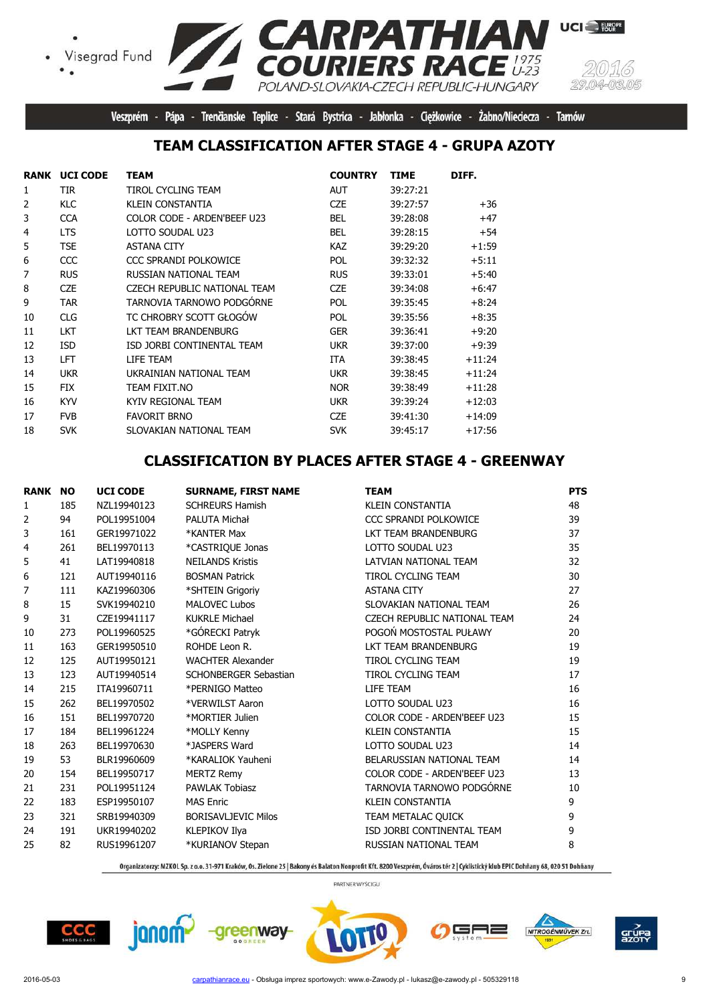Visegrad Fund  $\bullet$ 



**UCI** EUROPE

Z CA

Veszprém - Pápa - Trenčianske Teplice - Stará Bystrica - Jabłonka - Ciężkowice - Żabno/Nieciecza - Tarnów

POLAND-SLOVAKIA-CZECH REPUBLIC-HUNGARY

#### **TEAM CLASSIFICATION AFTER STAGE 4 - GRUPA AZOTY**

|                | <b>RANK UCI CODE</b> | <b>TEAM</b>                  | <b>COUNTRY</b> | <b>TIME</b> | DIFF.    |
|----------------|----------------------|------------------------------|----------------|-------------|----------|
| 1              | TIR                  | TIROL CYCLING TEAM           | <b>AUT</b>     | 39:27:21    |          |
| $\overline{2}$ | <b>KLC</b>           | <b>KLEIN CONSTANTIA</b>      | <b>CZE</b>     | 39:27:57    | $+36$    |
| 3              | <b>CCA</b>           | COLOR CODE - ARDEN'BEEF U23  | <b>BEL</b>     | 39:28:08    | $+47$    |
| $\overline{4}$ | <b>LTS</b>           | LOTTO SOUDAL U23             | <b>BEL</b>     | 39:28:15    | $+54$    |
| 5              | <b>TSE</b>           | <b>ASTANA CITY</b>           | KAZ            | 39:29:20    | $+1:59$  |
| 6              | CCC                  | CCC SPRANDI POLKOWICE        | <b>POL</b>     | 39:32:32    | $+5:11$  |
| 7              | <b>RUS</b>           | RUSSIAN NATIONAL TEAM        | <b>RUS</b>     | 39:33:01    | $+5:40$  |
| 8              | <b>CZE</b>           | CZECH REPUBLIC NATIONAL TEAM | <b>CZE</b>     | 39:34:08    | $+6:47$  |
| 9              | <b>TAR</b>           | TARNOVIA TARNOWO PODGÓRNE    | <b>POL</b>     | 39:35:45    | $+8:24$  |
| 10             | <b>CLG</b>           | TC CHROBRY SCOTT GŁOGÓW      | POL            | 39:35:56    | $+8:35$  |
| 11             | <b>LKT</b>           | LKT TEAM BRANDENBURG         | <b>GER</b>     | 39:36:41    | $+9:20$  |
| 12             | <b>ISD</b>           | ISD JORBI CONTINENTAL TEAM   | <b>UKR</b>     | 39:37:00    | $+9:39$  |
| 13             | LFT                  | LIFE TEAM                    | <b>ITA</b>     | 39:38:45    | $+11:24$ |
| 14             | <b>UKR</b>           | UKRAINIAN NATIONAL TEAM      | <b>UKR</b>     | 39:38:45    | $+11:24$ |
| 15             | <b>FIX</b>           | TEAM FIXIT.NO                | <b>NOR</b>     | 39:38:49    | +11:28   |
| 16             | <b>KYV</b>           | KYIV REGIONAL TEAM           | <b>UKR</b>     | 39:39:24    | $+12:03$ |
| 17             | <b>FVB</b>           | <b>FAVORIT BRNO</b>          | <b>CZE</b>     | 39:41:30    | +14:09   |
| 18             | <b>SVK</b>           | SLOVAKIAN NATIONAL TEAM      | <b>SVK</b>     | 39:45:17    | $+17:56$ |

#### **CLASSIFICATION BY PLACES AFTER STAGE 4 - GREENWAY**

| <b>RANK NO</b> |     | <b>UCI CODE</b> | <b>SURNAME, FIRST NAME</b> | <b>TEAM</b>                  | <b>PTS</b> |
|----------------|-----|-----------------|----------------------------|------------------------------|------------|
| 1              | 185 | NZL19940123     | <b>SCHREURS Hamish</b>     | <b>KLEIN CONSTANTIA</b>      | 48         |
| 2              | 94  | POL19951004     | PALUTA Michał              | <b>CCC SPRANDI POLKOWICE</b> | 39         |
| 3              | 161 | GER19971022     | *KANTER Max                | LKT TEAM BRANDENBURG         | 37         |
| 4              | 261 | BEL19970113     | *CASTRIQUE Jonas           | LOTTO SOUDAL U23             | 35         |
| 5              | 41  | LAT19940818     | <b>NEILANDS Kristis</b>    | LATVIAN NATIONAL TEAM        | 32         |
| 6              | 121 | AUT19940116     | <b>BOSMAN Patrick</b>      | <b>TIROL CYCLING TEAM</b>    | 30         |
| 7              | 111 | KAZ19960306     | *SHTEIN Grigoriy           | <b>ASTANA CITY</b>           | 27         |
| 8              | 15  | SVK19940210     | <b>MALOVEC Lubos</b>       | SLOVAKIAN NATIONAL TEAM      | 26         |
| 9              | 31  | CZE19941117     | <b>KUKRLE Michael</b>      | CZECH REPUBLIC NATIONAL TEAM | 24         |
| 10             | 273 | POL19960525     | *GÓRECKI Patryk            | POGOŃ MOSTOSTAL PUŁAWY       | 20         |
| 11             | 163 | GER19950510     | ROHDE Leon R.              | LKT TEAM BRANDENBURG         | 19         |
| 12             | 125 | AUT19950121     | <b>WACHTER Alexander</b>   | <b>TIROL CYCLING TEAM</b>    | 19         |
| 13             | 123 | AUT19940514     | SCHONBERGER Sebastian      | <b>TIROL CYCLING TEAM</b>    | 17         |
| 14             | 215 | ITA19960711     | *PERNIGO Matteo            | LIFE TEAM                    | 16         |
| 15             | 262 | BEL19970502     | *VERWILST Aaron            | LOTTO SOUDAL U23             | 16         |
| 16             | 151 | BEL19970720     | *MORTIER Julien            | COLOR CODE - ARDEN'BEEF U23  | 15         |
| 17             | 184 | BEL19961224     | *MOLLY Kenny               | <b>KLEIN CONSTANTIA</b>      | 15         |
| 18             | 263 | BEL19970630     | *JASPERS Ward              | LOTTO SOUDAL U23             | 14         |
| 19             | 53  | BLR19960609     | *KARALIOK Yauheni          | BELARUSSIAN NATIONAL TEAM    | 14         |
| 20             | 154 | BEL19950717     | <b>MERTZ Remy</b>          | COLOR CODE - ARDEN'BEEF U23  | 13         |
| 21             | 231 | POL19951124     | <b>PAWLAK Tobiasz</b>      | TARNOVIA TARNOWO PODGÓRNE    | 10         |
| 22             | 183 | ESP19950107     | <b>MAS Enric</b>           | <b>KLEIN CONSTANTIA</b>      | 9          |
| 23             | 321 | SRB19940309     | <b>BORISAVLJEVIC Milos</b> | TEAM METALAC QUICK           | 9          |
| 24             | 191 | UKR19940202     | KLEPIKOV Ilya              | ISD JORBI CONTINENTAL TEAM   | 9          |
| 25             | 82  | RUS19961207     | *KURIANOV Stepan           | RUSSIAN NATIONAL TEAM        | 8          |

Organizatorzy: MZKOL Sp. z o.o. 31-971 Kraków, Os. Zielone 25 | Bakony és Balaton Nonprofit Kft. 8200 Veszprém, Óváros tér 2 | Cyklistický klub EPIC Dohňany 68, 020 51 Dohňany





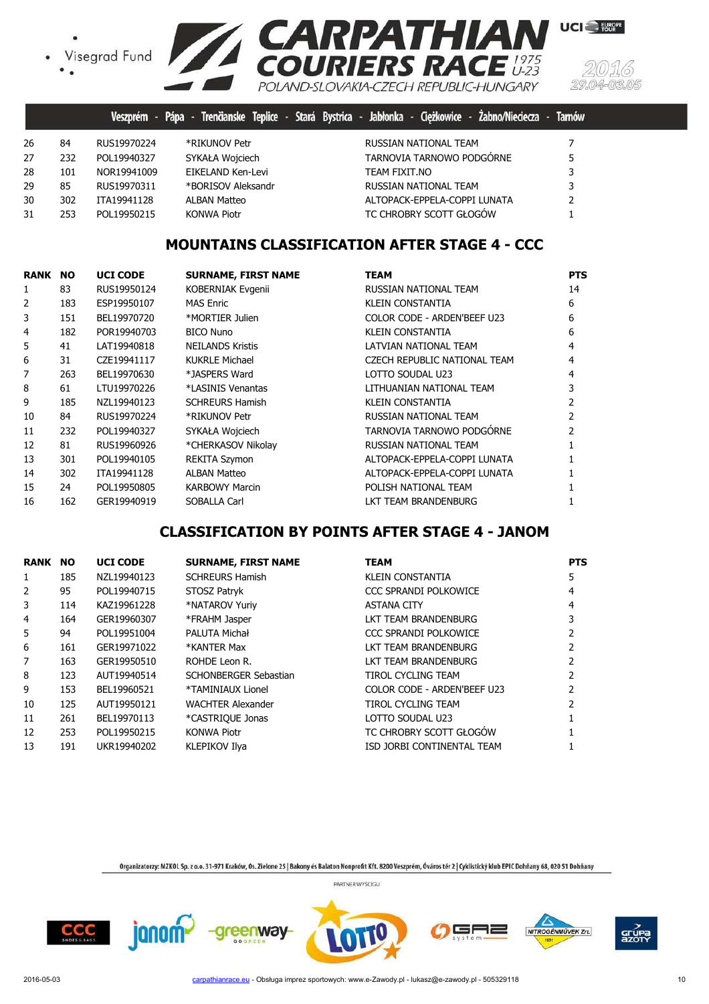· Visegrad Fund



|    |     |              |                     | Veszprém - Pápa - Trenčianske Teplice - Stará Bystrica - Jabłonka - Ciężkowice - Żabno/Nieciecza - Tarnów |   |
|----|-----|--------------|---------------------|-----------------------------------------------------------------------------------------------------------|---|
| 26 | 84  | RUS19970224  | *RIKUNOV Petr       | RUSSIAN NATIONAL TEAM                                                                                     |   |
| 27 | 232 | POL19940327  | SYKAŁA Wojciech     | TARNOVIA TARNOWO PODGÓRNE                                                                                 | 5 |
| 28 | 101 | NOR19941009  | EIKELAND Ken-Levi   | TEAM FIXIT.NO                                                                                             | 3 |
| 29 | 85  | RUS19970311  | *BORISOV Aleksandr  | RUSSIAN NATIONAL TEAM                                                                                     | 3 |
| 30 | 302 | ITA19941128  | <b>ALBAN Matteo</b> | ALTOPACK-EPPELA-COPPI LUNATA                                                                              | 2 |
| 31 | 253 | POI 19950215 | <b>KONWA Piotr</b>  | TC CHROBRY SCOTT GŁOGÓW                                                                                   |   |
|    |     |              |                     |                                                                                                           |   |

### **MOUNTAINS CLASSIFICATION AFTER STAGE 4 - CCC**

| RANK | <b>NO</b> | <b>UCI CODE</b> | <b>SURNAME, FIRST NAME</b> | <b>TEAM</b>                  | <b>PTS</b>    |
|------|-----------|-----------------|----------------------------|------------------------------|---------------|
| 1    | 83        | RUS19950124     | <b>KOBERNIAK Evgenii</b>   | RUSSIAN NATIONAL TEAM        | 14            |
| 2    | 183       | ESP19950107     | <b>MAS Enric</b>           | KLEIN CONSTANTIA             | 6             |
| 3    | 151       | BEL19970720     | *MORTIER Julien            | COLOR CODE - ARDEN'BEEF U23  | 6             |
| 4    | 182       | POR19940703     | <b>BICO Nuno</b>           | <b>KLEIN CONSTANTIA</b>      | 6             |
| 5    | 41        | LAT19940818     | <b>NEILANDS Kristis</b>    | LATVIAN NATIONAL TEAM        | 4             |
| 6    | 31        | CZE19941117     | <b>KUKRLE Michael</b>      | CZECH REPUBLIC NATIONAL TEAM | 4             |
| 7    | 263       | BEL19970630     | *JASPERS Ward              | LOTTO SOUDAL U23             | 4             |
| 8    | 61        | LTU19970226     | *LASINIS Venantas          | LITHUANIAN NATIONAL TEAM     | 3             |
| 9    | 185       | NZL19940123     | <b>SCHREURS Hamish</b>     | <b>KLEIN CONSTANTIA</b>      |               |
| 10   | 84        | RUS19970224     | *RIKUNOV Petr              | RUSSIAN NATIONAL TEAM        |               |
| 11   | 232       | POL19940327     | SYKAŁA Wojciech            | TARNOVIA TARNOWO PODGÓRNE    | $\mathcal{P}$ |
| 12   | 81        | RUS19960926     | *CHERKASOV Nikolay         | RUSSIAN NATIONAL TEAM        |               |
| 13   | 301       | POL19940105     | REKITA Szymon              | ALTOPACK-EPPELA-COPPI LUNATA |               |
| 14   | 302       | ITA19941128     | <b>ALBAN Matteo</b>        | ALTOPACK-EPPELA-COPPI LUNATA |               |
| 15   | 24        | POL19950805     | <b>KARBOWY Marcin</b>      | POLISH NATIONAL TEAM         |               |
| 16   | 162       | GER19940919     | SOBALLA Carl               | LKT TEAM BRANDENBURG         |               |

### **CLASSIFICATION BY POINTS AFTER STAGE 4 - JANOM**

| <b>RANK</b> | <b>NO</b> | <b>UCI CODE</b> | <b>SURNAME, FIRST NAME</b> | <b>TEAM</b>                  | <b>PTS</b> |
|-------------|-----------|-----------------|----------------------------|------------------------------|------------|
| 1           | 185       | NZL19940123     | <b>SCHREURS Hamish</b>     | <b>KLEIN CONSTANTIA</b>      | 5.         |
| 2           | 95        | POL19940715     | STOSZ Patryk               | <b>CCC SPRANDI POLKOWICE</b> | 4          |
| 3           | 114       | KAZ19961228     | *NATAROV Yuriy             | ASTANA CITY                  | 4          |
| 4           | 164       | GER19960307     | *FRAHM Jasper              | LKT TEAM BRANDENBURG         |            |
| 5           | 94        | POL19951004     | PALUTA Michał              | CCC SPRANDI POLKOWICE        |            |
| 6           | 161       | GER19971022     | *KANTER Max                | LKT TEAM BRANDENBURG         |            |
| 7           | 163       | GER19950510     | ROHDE Leon R.              | LKT TEAM BRANDENBURG         |            |
| 8           | 123       | AUT19940514     | SCHONBERGER Sebastian      | TIROL CYCLING TEAM           |            |
| 9           | 153       | BEL19960521     | *TAMINIAUX Lionel          | COLOR CODE - ARDEN'BEEF U23  |            |
| 10          | 125       | AUT19950121     | <b>WACHTER Alexander</b>   | TIROL CYCLING TEAM           |            |
| 11          | 261       | BEL19970113     | *CASTRIOUE Jonas           | LOTTO SOUDAL U23             |            |
| 12          | 253       | POL19950215     | <b>KONWA Piotr</b>         | TC CHROBRY SCOTT GŁOGÓW      |            |
| 13          | 191       | UKR19940202     | <b>KLEPIKOV Ilya</b>       | ISD JORBI CONTINENTAL TEAM   |            |

Organizatorzy: MZKOL Sp. z o.o. 31-971 Kraków, Os. Zielone 25 | Bakony és Balaton Nonprofit Kft. 8200 Veszprém, Óváros tér 2 | Cyklistický klub EPIC Dohňany 68, 020 51 Dohňany PARTNER WYŚCIGU





-greenway-





15.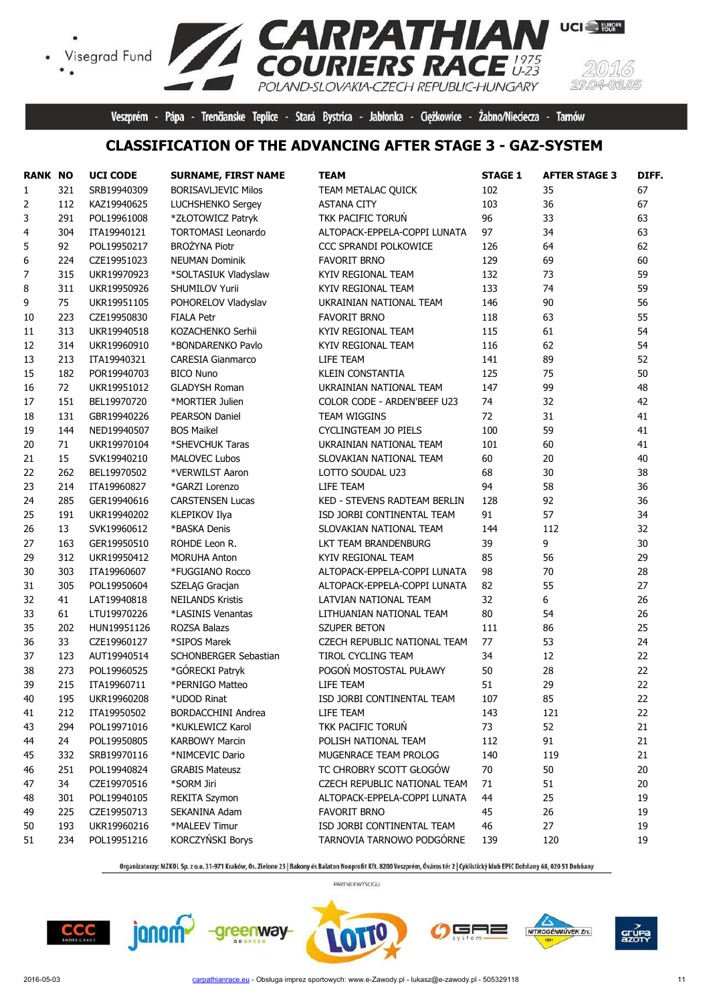## Visegrad Fund  $\bullet$

(5)  $29.04$  $-03.05$ 

**UCI** EUROPE

Veszprém - Pápa - Trenčianske Teplice - Stará Bystrica - Jabłonka - Ciężkowice - Żabno/Nieciecza - Tarnów

#### **CLASSIFICATION OF THE ADVANCING AFTER STAGE 3 - GAZ-SYSTEM**

**RPATHIAN**<br>JRIERS RACE<sup>1975</sup>

POLAND-SLOVAKIA-CZECH REPUBLIC-HUNGARY

| <b>RANK NO</b> |     | <b>UCI CODE</b> | <b>SURNAME, FIRST NAME</b> | <b>TEAM</b>                  | <b>STAGE 1</b> | <b>AFTER STAGE 3</b> | DIFF. |
|----------------|-----|-----------------|----------------------------|------------------------------|----------------|----------------------|-------|
| $\mathbf{1}$   | 321 | SRB19940309     | <b>BORISAVLJEVIC Milos</b> | TEAM METALAC QUICK           | 102            | 35                   | 67    |
| 2              | 112 | KAZ19940625     | <b>LUCHSHENKO Sergey</b>   | <b>ASTANA CITY</b>           | 103            | 36                   | 67    |
| 3              | 291 | POL19961008     | *ZŁOTOWICZ Patryk          | TKK PACIFIC TORUN            | 96             | 33                   | 63    |
| 4              | 304 | ITA19940121     | <b>TORTOMASI Leonardo</b>  | ALTOPACK-EPPELA-COPPI LUNATA | 97             | 34                   | 63    |
| 5              | 92  | POL19950217     | <b>BROŻYNA Piotr</b>       | CCC SPRANDI POLKOWICE        | 126            | 64                   | 62    |
| 6              | 224 | CZE19951023     | <b>NEUMAN Dominik</b>      | <b>FAVORIT BRNO</b>          | 129            | 69                   | 60    |
| 7              | 315 | UKR19970923     | *SOLTASIUK Vladyslaw       | KYIV REGIONAL TEAM           | 132            | 73                   | 59    |
| 8              | 311 | UKR19950926     | SHUMILOV Yurii             | KYIV REGIONAL TEAM           | 133            | 74                   | 59    |
| 9              | 75  | UKR19951105     | POHORELOV Vladyslav        | UKRAINIAN NATIONAL TEAM      | 146            | 90                   | 56    |
| 10             | 223 | CZE19950830     | <b>FIALA Petr</b>          | <b>FAVORIT BRNO</b>          | 118            | 63                   | 55    |
| 11             | 313 | UKR19940518     | KOZACHENKO Serhii          | KYIV REGIONAL TEAM           | 115            | 61                   | 54    |
| 12             | 314 | UKR19960910     | *BONDARENKO Pavlo          | KYIV REGIONAL TEAM           | 116            | 62                   | 54    |
| 13             | 213 | ITA19940321     | <b>CARESIA Gianmarco</b>   | LIFE TEAM                    | 141            | 89                   | 52    |
| 15             | 182 | POR19940703     | <b>BICO Nuno</b>           | <b>KLEIN CONSTANTIA</b>      | 125            | 75                   | 50    |
| 16             | 72  | UKR19951012     | <b>GLADYSH Roman</b>       | UKRAINIAN NATIONAL TEAM      | 147            | 99                   | 48    |
| 17             | 151 | BEL19970720     | *MORTIER Julien            | COLOR CODE - ARDEN'BEEF U23  | 74             | 32                   | 42    |
| 18             | 131 | GBR19940226     | <b>PEARSON Daniel</b>      | TEAM WIGGINS                 | 72             | 31                   | 41    |
| 19             | 144 | NED19940507     | <b>BOS Maikel</b>          | CYCLINGTEAM JO PIELS         | 100            | 59                   | 41    |
| 20             | 71  | UKR19970104     | *SHEVCHUK Taras            | UKRAINIAN NATIONAL TEAM      | 101            | 60                   | 41    |
| 21             | 15  | SVK19940210     | <b>MALOVEC Lubos</b>       | SLOVAKIAN NATIONAL TEAM      | 60             | 20                   | 40    |
| 22             | 262 | BEL19970502     | *VERWILST Aaron            | LOTTO SOUDAL U23             | 68             | 30                   | 38    |
| 23             | 214 | ITA19960827     | *GARZI Lorenzo             | LIFE TEAM                    | 94             | 58                   | 36    |
| 24             | 285 | GER19940616     | <b>CARSTENSEN Lucas</b>    | KED - STEVENS RADTEAM BERLIN | 128            | 92                   | 36    |
| 25             | 191 | UKR19940202     | KLEPIKOV Ilya              | ISD JORBI CONTINENTAL TEAM   | 91             | 57                   | 34    |
| 26             | 13  | SVK19960612     | *BASKA Denis               | SLOVAKIAN NATIONAL TEAM      | 144            | 112                  | 32    |
| 27             | 163 | GER19950510     | ROHDE Leon R.              | LKT TEAM BRANDENBURG         | 39             | 9                    | 30    |
| 29             | 312 | UKR19950412     | <b>MORUHA Anton</b>        | KYIV REGIONAL TEAM           | 85             | 56                   | 29    |
| 30             | 303 | ITA19960607     | *FUGGIANO Rocco            | ALTOPACK-EPPELA-COPPI LUNATA | 98             | 70                   | 28    |
| 31             | 305 | POL19950604     | SZELĄG Gracjan             | ALTOPACK-EPPELA-COPPI LUNATA | 82             | 55                   | 27    |
| 32             | 41  | LAT19940818     | <b>NEILANDS Kristis</b>    | LATVIAN NATIONAL TEAM        | 32             | 6                    | 26    |
| 33             | 61  | LTU19970226     | *LASINIS Venantas          | LITHUANIAN NATIONAL TEAM     | 80             | 54                   | 26    |
| 35             | 202 | HUN19951126     | <b>ROZSA Balazs</b>        | SZUPER BETON                 | 111            | 86                   | 25    |
| 36             | 33  | CZE19960127     | *SIPOS Marek               | CZECH REPUBLIC NATIONAL TEAM | 77             | 53                   | 24    |
| 37             | 123 | AUT19940514     | SCHONBERGER Sebastian      | <b>TIROL CYCLING TEAM</b>    | 34             | 12                   | 22    |
| 38             | 273 | POL19960525     | *GÓRECKI Patryk            | POGOŃ MOSTOSTAL PUŁAWY       | 50             | 28                   | 22    |
| 39             | 215 | ITA19960711     | *PERNIGO Matteo            | LIFE TEAM                    | 51             | 29                   | 22    |
| 40             | 195 | UKR19960208     | *UDOD Rinat                | ISD JORBI CONTINENTAL TEAM   | 107            | 85                   | 22    |
| 41             | 212 | ITA19950502     | <b>BORDACCHINI Andrea</b>  | LIFE TEAM                    | 143            | 121                  | 22    |
| 43             | 294 | POL19971016     | *KUKLEWICZ Karol           | TKK PACIFIC TORUN            | 73             | 52                   | 21    |
| 44             | 24  | POL19950805     | KARBOWY Marcin             | POLISH NATIONAL TEAM         | 112            | 91                   | 21    |
| 45             | 332 | SRB19970116     | *NIMCEVIC Dario            | MUGENRACE TEAM PROLOG        | 140            | 119                  | 21    |
| 46             | 251 | POL19940824     | <b>GRABIS Mateusz</b>      | TC CHROBRY SCOTT GŁOGÓW      | 70             | 50                   | 20    |
| 47             | 34  | CZE19970516     | *SORM Jiri                 | CZECH REPUBLIC NATIONAL TEAM | 71             | 51                   | 20    |
| 48             | 301 | POL19940105     | <b>REKITA Szymon</b>       | ALTOPACK-EPPELA-COPPI LUNATA | 44             | 25                   | 19    |
| 49             | 225 | CZE19950713     | SEKANINA Adam              | <b>FAVORIT BRNO</b>          | 45             | 26                   | 19    |
| 50             | 193 | UKR19960216     | *MALEEV Timur              | ISD JORBI CONTINENTAL TEAM   | 46             | 27                   | 19    |
| 51             | 234 | POL19951216     | KORCZYŃSKI Borys           | TARNOVIA TARNOWO PODGÓRNE    | 139            | 120                  | 19    |
|                |     |                 |                            |                              |                |                      |       |

Organizatorzy: MZKOL Sp. z o.o. 31-971 Kraków, Os. Zielone 25 | Bakony és Balaton Nonprofit Kft. 8200 Veszprém, Óváros tér 2 | Cyklistický klub EPIC Dohňany 68, 020 51 Dohňany

PARTNER WYŚCIGU

5F ╕═



janom<sup>2</sup>

-greenway-

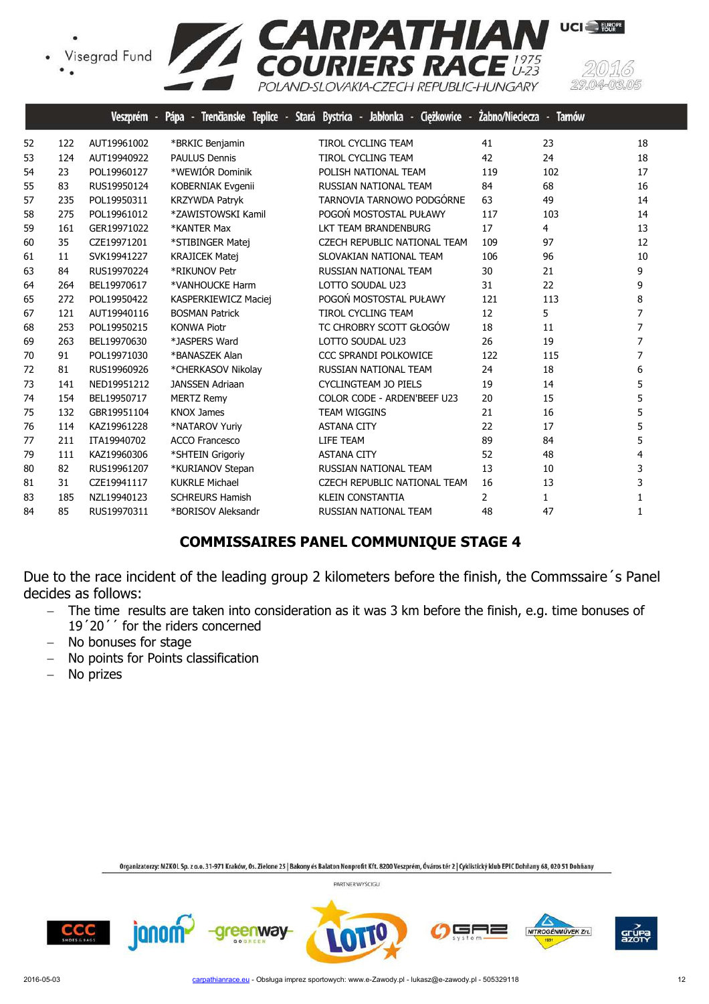Visegrad Fund



|    |     | Veszprém -  | Pápa -<br>Trenčianske Teplice - Stará Bystrica - | Jabłonka - Ciężkowice               | Żabno/Nieciecza | <b>Tamów</b><br>-4 |                |
|----|-----|-------------|--------------------------------------------------|-------------------------------------|-----------------|--------------------|----------------|
| 52 | 122 | AUT19961002 | *BRKIC Benjamin                                  | <b>TIROL CYCLING TEAM</b>           | 41              | 23                 | 18             |
| 53 | 124 | AUT19940922 | <b>PAULUS Dennis</b>                             | <b>TIROL CYCLING TEAM</b>           | 42              | 24                 | 18             |
| 54 | 23  | POL19960127 | *WEWIÓR Dominik                                  | POLISH NATIONAL TEAM                | 119             | 102                | 17             |
| 55 | 83  | RUS19950124 | KOBERNIAK Evgenii                                | RUSSIAN NATIONAL TEAM               | 84              | 68                 | 16             |
| 57 | 235 | POL19950311 | <b>KRZYWDA Patryk</b>                            | TARNOVIA TARNOWO PODGÓRNE           | 63              | 49                 | 14             |
| 58 | 275 | POL19961012 | *ZAWISTOWSKI Kamil                               | POGOŃ MOSTOSTAL PUŁAWY              | 117             | 103                | 14             |
| 59 | 161 | GER19971022 | *KANTER Max                                      | LKT TEAM BRANDENBURG                | 17              | 4                  | 13             |
| 60 | 35  | CZE19971201 | *STIBINGER Matej                                 | <b>CZECH REPUBLIC NATIONAL TEAM</b> | 109             | 97                 | 12             |
| 61 | 11  | SVK19941227 | <b>KRAJICEK Matej</b>                            | SLOVAKIAN NATIONAL TEAM             | 106             | 96                 | 10             |
| 63 | 84  | RUS19970224 | *RIKUNOV Petr                                    | RUSSIAN NATIONAL TEAM               | 30              | 21                 | 9              |
| 64 | 264 | BEL19970617 | *VANHOUCKE Harm                                  | LOTTO SOUDAL U23                    | 31              | 22                 | 9              |
| 65 | 272 | POL19950422 | KASPERKIEWICZ Maciej                             | POGOŃ MOSTOSTAL PUŁAWY              | 121             | 113                | 8              |
| 67 | 121 | AUT19940116 | <b>BOSMAN Patrick</b>                            | <b>TIROL CYCLING TEAM</b>           | 12              | 5                  | 7              |
| 68 | 253 | POL19950215 | <b>KONWA Piotr</b>                               | TC CHROBRY SCOTT GŁOGÓW             | 18              | 11                 | $\overline{7}$ |
| 69 | 263 | BEL19970630 | *JASPERS Ward                                    | LOTTO SOUDAL U23                    | 26              | 19                 | 7              |
| 70 | 91  | POL19971030 | *BANASZEK Alan                                   | <b>CCC SPRANDI POLKOWICE</b>        | 122             | 115                | 7              |
| 72 | 81  | RUS19960926 | *CHERKASOV Nikolay                               | RUSSIAN NATIONAL TEAM               | 24              | 18                 | 6              |
| 73 | 141 | NED19951212 | <b>JANSSEN Adriaan</b>                           | <b>CYCLINGTEAM JO PIELS</b>         | 19              | 14                 | 5              |
| 74 | 154 | BEL19950717 | <b>MERTZ Remy</b>                                | COLOR CODE - ARDEN'BEEF U23         | 20              | 15                 | 5              |
| 75 | 132 | GBR19951104 | <b>KNOX James</b>                                | <b>TEAM WIGGINS</b>                 | 21              | 16                 | 5              |
| 76 | 114 | KAZ19961228 | *NATAROV Yuriy                                   | <b>ASTANA CITY</b>                  | 22              | 17                 | 5              |
| 77 | 211 | ITA19940702 | <b>ACCO Francesco</b>                            | LIFE TEAM                           | 89              | 84                 | 5              |
| 79 | 111 | KAZ19960306 | *SHTEIN Grigoriy                                 | <b>ASTANA CITY</b>                  | 52              | 48                 | 4              |
| 80 | 82  | RUS19961207 | *KURIANOV Stepan                                 | RUSSIAN NATIONAL TEAM               | 13              | 10                 | 3              |
| 81 | 31  | CZE19941117 | <b>KUKRLE Michael</b>                            | <b>CZECH REPUBLIC NATIONAL TEAM</b> | 16              | 13                 | 3              |
| 83 | 185 | NZL19940123 | <b>SCHREURS Hamish</b>                           | <b>KLEIN CONSTANTIA</b>             | $\overline{2}$  | $\mathbf{1}$       | $\mathbf{1}$   |
| 84 | 85  | RUS19970311 | *BORISOV Aleksandr                               | RUSSIAN NATIONAL TEAM               | 48              | 47                 | $\mathbf{1}$   |
|    |     |             |                                                  |                                     |                 |                    |                |

## **COMMISSAIRES PANEL COMMUNIQUE STAGE 4**

Due to the race incident of the leading group 2 kilometers before the finish, the Commssaire´s Panel decides as follows:

- − The time results are taken into consideration as it was 3 km before the finish, e.g. time bonuses of 19´20´´ for the riders concerned
- − No bonuses for stage
- − No points for Points classification

janom

areenway

− No prizes

Organizatorzy: MZKOL Sp. z o.o. 31-971 Kraków, Os. Zielone 25 | Bakony és Balaton Nonprofit Kft. 8200 Veszprém, Óváros tér 2 | Cyklistický klub EPIC Dohňany 68, 020 51 Dohňany





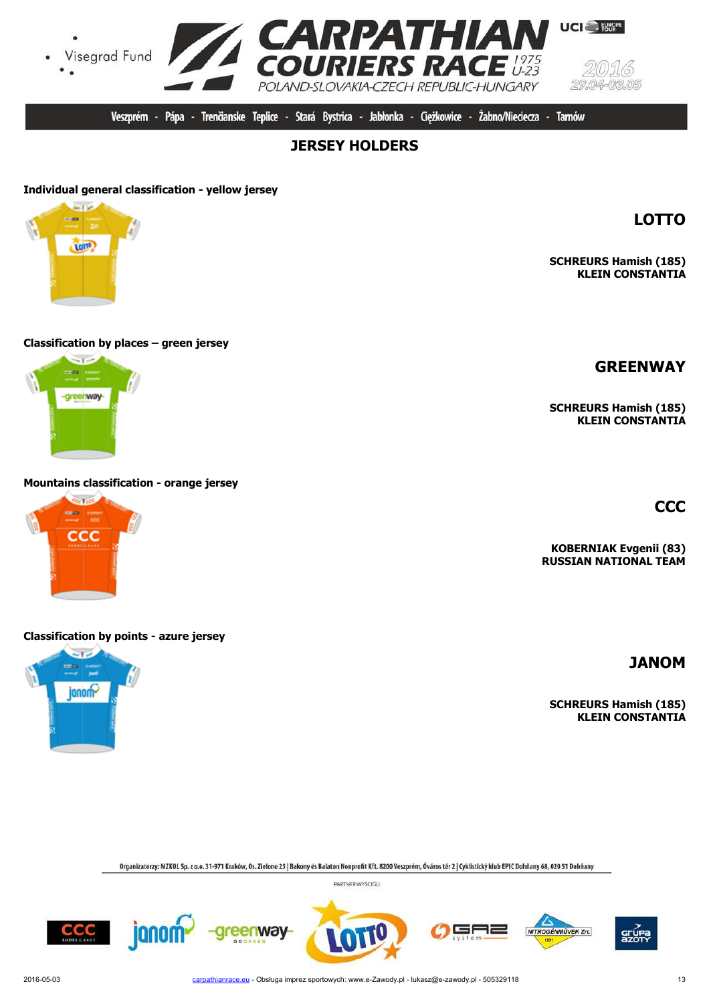-areenway-

**Classification by places – green jersey**

**Mountains classification - orange jersey**

# **Classification by points - azure jersey**

 $\sim$ 

janom-

Organizatorzy: MZKOL Sp. z o.o. 31-971 Kraków, Os. Zielone 25 | Bakony és Balaton Nonprofit Kft. 8200 Veszprém, Óváros tér 2 | Cyklistický klub EPIC Dohňany 68, 020 51 Dohňany

PARTNER WYŚCIGU







CCC



**LOTTO**

**SCHREURS Hamish (185) KLEIN CONSTANTIA**

**CCC**

**KOBERNIAK Evgenii (83) RUSSIAN NATIONAL TEAM**

**JANOM**

**SCHREURS Hamish (185) KLEIN CONSTANTIA**

**SCHREURS Hamish (185) KLEIN CONSTANTIA**

Żabno/Nieciecza -

**Tarnów** 

**JERSEY HOLDERS** 

Veszprém - Pápa - Trenčianske Teplice - Stará Bystrica - Jabłonka - Cieżkowice -





ana.

con Lect ...

ccc





NITROGÉNMŰVEK Zrt.

╕